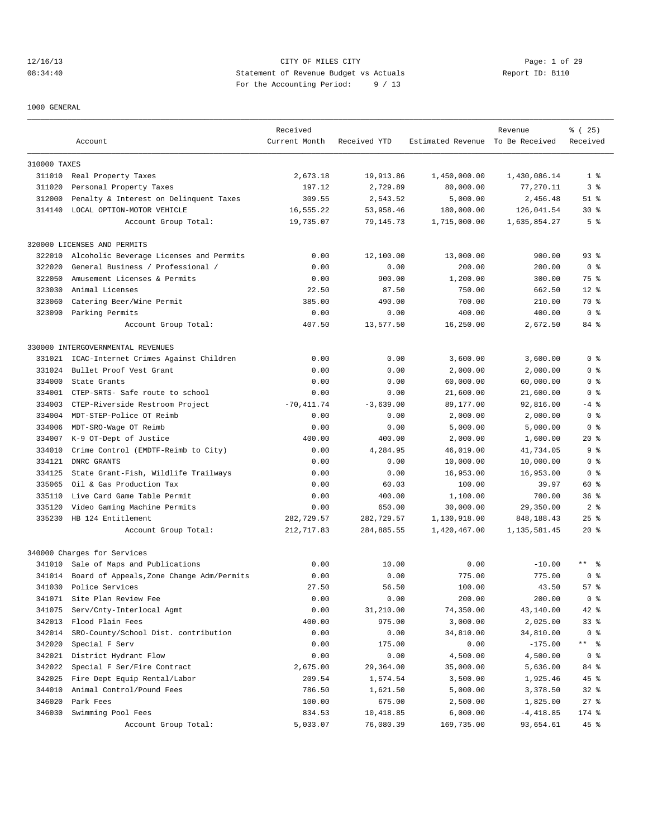#### 12/16/13 CITY OF MILES CITY Page: 1 of 29 08:34:40 Statement of Revenue Budget vs Actuals Report ID: B110 For the Accounting Period: 9 / 13

1000 GENERAL

|              |                                           | Received      |              |                                  | Revenue      | % (25)               |
|--------------|-------------------------------------------|---------------|--------------|----------------------------------|--------------|----------------------|
|              | Account                                   | Current Month | Received YTD | Estimated Revenue To Be Received |              | Received             |
| 310000 TAXES |                                           |               |              |                                  |              |                      |
|              | 311010 Real Property Taxes                | 2,673.18      | 19,913.86    | 1,450,000.00                     | 1,430,086.14 | 1 <sup>8</sup>       |
| 311020       | Personal Property Taxes                   | 197.12        | 2,729.89     | 80,000.00                        | 77,270.11    | 3 <sup>8</sup>       |
| 312000       | Penalty & Interest on Delinquent Taxes    | 309.55        | 2,543.52     | 5,000.00                         | 2,456.48     | $51$ %               |
| 314140       | LOCAL OPTION-MOTOR VEHICLE                | 16,555.22     | 53,958.46    | 180,000.00                       | 126,041.54   | 30 <sub>8</sub>      |
|              | Account Group Total:                      | 19,735.07     | 79,145.73    | 1,715,000.00                     | 1,635,854.27 | 5 <sup>8</sup>       |
|              | 320000 LICENSES AND PERMITS               |               |              |                                  |              |                      |
| 322010       | Alcoholic Beverage Licenses and Permits   | 0.00          | 12,100.00    | 13,000.00                        | 900.00       | $93$ $%$             |
| 322020       | General Business / Professional /         | 0.00          | 0.00         | 200.00                           | 200.00       | 0 <sup>8</sup>       |
| 322050       | Amusement Licenses & Permits              | 0.00          | 900.00       | 1,200.00                         | 300.00       | 75 %                 |
| 323030       | Animal Licenses                           | 22.50         | 87.50        | 750.00                           | 662.50       | $12*$                |
| 323060       | Catering Beer/Wine Permit                 | 385.00        | 490.00       | 700.00                           | 210.00       | 70 %                 |
|              |                                           |               |              |                                  |              |                      |
| 323090       | Parking Permits                           | 0.00          | 0.00         | 400.00                           | 400.00       | 0 <sup>8</sup>       |
|              | Account Group Total:                      | 407.50        | 13,577.50    | 16,250.00                        | 2,672.50     | 84 %                 |
|              | 330000 INTERGOVERNMENTAL REVENUES         |               |              |                                  |              |                      |
| 331021       | ICAC-Internet Crimes Against Children     | 0.00          | 0.00         | 3,600.00                         | 3,600.00     | 0 <sup>8</sup>       |
| 331024       | Bullet Proof Vest Grant                   | 0.00          | 0.00         | 2,000.00                         | 2,000.00     | 0 <sup>8</sup>       |
| 334000       | State Grants                              | 0.00          | 0.00         | 60,000.00                        | 60,000.00    | 0 <sup>8</sup>       |
| 334001       | CTEP-SRTS- Safe route to school           | 0.00          | 0.00         | 21,600.00                        | 21,600.00    | 0 <sup>8</sup>       |
| 334003       | CTEP-Riverside Restroom Project           | $-70, 411.74$ | $-3.639.00$  | 89,177.00                        | 92,816.00    | $-4$ %               |
| 334004       | MDT-STEP-Police OT Reimb                  | 0.00          | 0.00         | 2,000.00                         | 2,000.00     | 0 <sup>8</sup>       |
| 334006       | MDT-SRO-Wage OT Reimb                     | 0.00          | 0.00         | 5,000.00                         | 5,000.00     | 0 <sup>8</sup>       |
| 334007       | K-9 OT-Dept of Justice                    | 400.00        | 400.00       | 2,000.00                         | 1,600.00     | $20*$                |
| 334010       | Crime Control (EMDTF-Reimb to City)       | 0.00          | 4,284.95     | 46,019.00                        | 41,734.05    | 9 <sup>8</sup>       |
| 334121       | DNRC GRANTS                               | 0.00          | 0.00         | 10,000.00                        | 10,000.00    | 0 <sup>8</sup>       |
| 334125       | State Grant-Fish, Wildlife Trailways      | 0.00          | 0.00         | 16,953.00                        | 16,953.00    | 0 <sup>8</sup>       |
| 335065       | Oil & Gas Production Tax                  | 0.00          | 60.03        | 100.00                           | 39.97        | 60 %                 |
| 335110       | Live Card Game Table Permit               | 0.00          | 400.00       | 1,100.00                         | 700.00       | 36%                  |
| 335120       | Video Gaming Machine Permits              | 0.00          | 650.00       | 30,000.00                        | 29,350.00    | 2 <sup>8</sup>       |
| 335230       | HB 124 Entitlement                        | 282,729.57    | 282,729.57   | 1,130,918.00                     | 848, 188.43  | $25$ %               |
|              | Account Group Total:                      | 212,717.83    | 284,885.55   | 1,420,467.00                     | 1,135,581.45 | $20*$                |
|              | 340000 Charges for Services               |               |              |                                  |              |                      |
| 341010       | Sale of Maps and Publications             | 0.00          | 10.00        | 0.00                             | $-10.00$     | $\star$ $\star$<br>း |
| 341014       | Board of Appeals, Zone Change Adm/Permits | 0.00          | 0.00         | 775.00                           | 775.00       | 0 <sup>8</sup>       |
| 341030       | Police Services                           | 27.50         | 56.50        | 100.00                           | 43.50        | 57%                  |
| 341071       | Site Plan Review Fee                      | 0.00          | 0.00         | 200.00                           | 200.00       | 0 <sup>8</sup>       |
| 341075       | Serv/Cnty-Interlocal Agmt                 | 0.00          | 31,210.00    | 74,350.00                        | 43,140.00    | 42 %                 |
| 342013       | Flood Plain Fees                          | 400.00        | 975.00       | 3,000.00                         | 2,025.00     | 33%                  |
| 342014       | SRO-County/School Dist. contribution      | 0.00          | 0.00         | 34,810.00                        | 34,810.00    | 0 <sup>8</sup>       |
| 342020       | Special F Serv                            | 0.00          | 175.00       | 0.00                             | $-175.00$    | ** 응                 |
| 342021       | District Hydrant Flow                     | 0.00          | 0.00         | 4,500.00                         | 4,500.00     | 0 <sup>8</sup>       |
| 342022       | Special F Ser/Fire Contract               | 2,675.00      | 29,364.00    | 35,000.00                        | 5,636.00     | 84 %                 |
| 342025       | Fire Dept Equip Rental/Labor              | 209.54        | 1,574.54     | 3,500.00                         | 1,925.46     | $45$ %               |
| 344010       | Animal Control/Pound Fees                 | 786.50        |              | 5,000.00                         |              | $32*$                |
| 346020       | Park Fees                                 | 100.00        | 1,621.50     |                                  | 3,378.50     | $27$ %               |
| 346030       | Swimming Pool Fees                        |               | 675.00       | 2,500.00<br>6,000.00             | 1,825.00     |                      |
|              |                                           | 834.53        | 10,418.85    |                                  | $-4,418.85$  | 174 %                |
|              | Account Group Total:                      | 5,033.07      | 76,080.39    | 169,735.00                       | 93,654.61    | 45 %                 |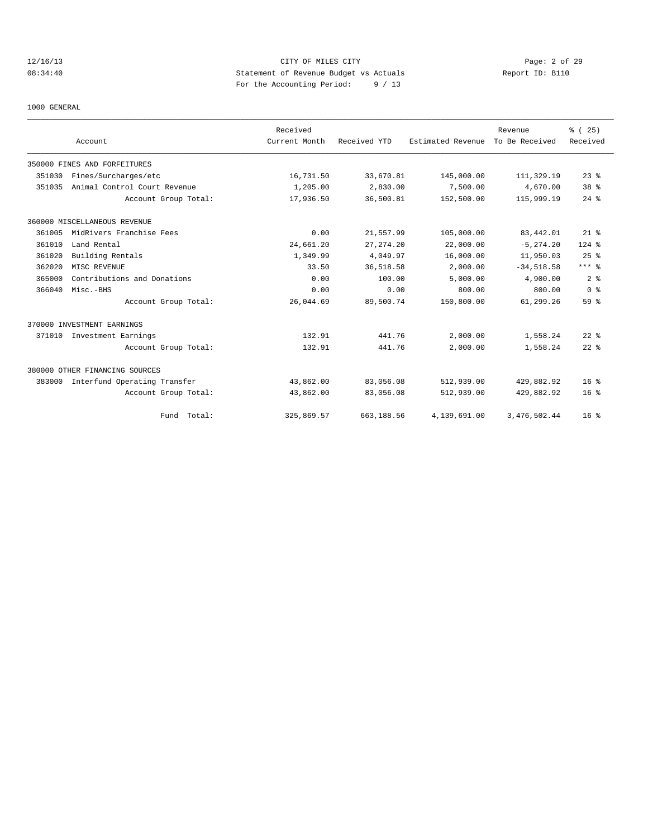# 12/16/13 CITY OF MILES CITY Page: 2 of 29 08:34:40 Statement of Revenue Budget vs Actuals Report ID: B110 For the Accounting Period: 9 / 13

1000 GENERAL

|        |                                |                      | Received      |              |                   | Revenue        | % (25)          |
|--------|--------------------------------|----------------------|---------------|--------------|-------------------|----------------|-----------------|
|        | Account                        |                      | Current Month | Received YTD | Estimated Revenue | To Be Received | Received        |
|        | 350000 FINES AND FORFEITURES   |                      |               |              |                   |                |                 |
| 351030 | Fines/Surcharges/etc           |                      | 16,731.50     | 33,670.81    | 145,000.00        | 111,329.19     | $23$ $%$        |
| 351035 | Animal Control Court Revenue   |                      | 1,205.00      | 2,830.00     | 7,500.00          | 4,670.00       | 38 <sup>8</sup> |
|        |                                | Account Group Total: | 17,936.50     | 36,500.81    | 152,500.00        | 115,999.19     | $24$ $%$        |
|        | 360000 MISCELLANEOUS REVENUE   |                      |               |              |                   |                |                 |
| 361005 | MidRivers Franchise Fees       |                      | 0.00          | 21,557.99    | 105,000.00        | 83,442.01      | $21$ %          |
| 361010 | Land Rental                    |                      | 24,661.20     | 27, 274.20   | 22,000.00         | $-5, 274.20$   | $124$ %         |
| 361020 | Building Rentals               |                      | 1,349.99      | 4,049.97     | 16,000.00         | 11,950.03      | 25%             |
| 362020 | MISC REVENUE                   |                      | 33.50         | 36,518.58    | 2,000.00          | $-34,518.58$   | $***$ 8         |
| 365000 | Contributions and Donations    |                      | 0.00          | 100.00       | 5,000.00          | 4,900.00       | 2 <sup>8</sup>  |
| 366040 | Misc.-BHS                      |                      | 0.00          | 0.00         | 800.00            | 800.00         | 0 <sup>8</sup>  |
|        |                                | Account Group Total: | 26,044.69     | 89,500.74    | 150,800.00        | 61,299.26      | 59 %            |
|        | 370000 INVESTMENT EARNINGS     |                      |               |              |                   |                |                 |
|        | 371010 Investment Earnings     |                      | 132.91        | 441.76       | 2,000.00          | 1,558.24       | $22$ $%$        |
|        |                                | Account Group Total: | 132.91        | 441.76       | 2,000.00          | 1,558.24       | $22$ $%$        |
|        | 380000 OTHER FINANCING SOURCES |                      |               |              |                   |                |                 |
| 383000 | Interfund Operating Transfer   |                      | 43,862.00     | 83,056.08    | 512,939.00        | 429,882.92     | 16 <sup>8</sup> |
|        |                                | Account Group Total: | 43,862.00     | 83,056.08    | 512,939.00        | 429,882.92     | 16 <sup>8</sup> |
|        |                                | Fund Total:          | 325,869.57    | 663,188.56   | 4,139,691.00      | 3, 476, 502.44 | $16*$           |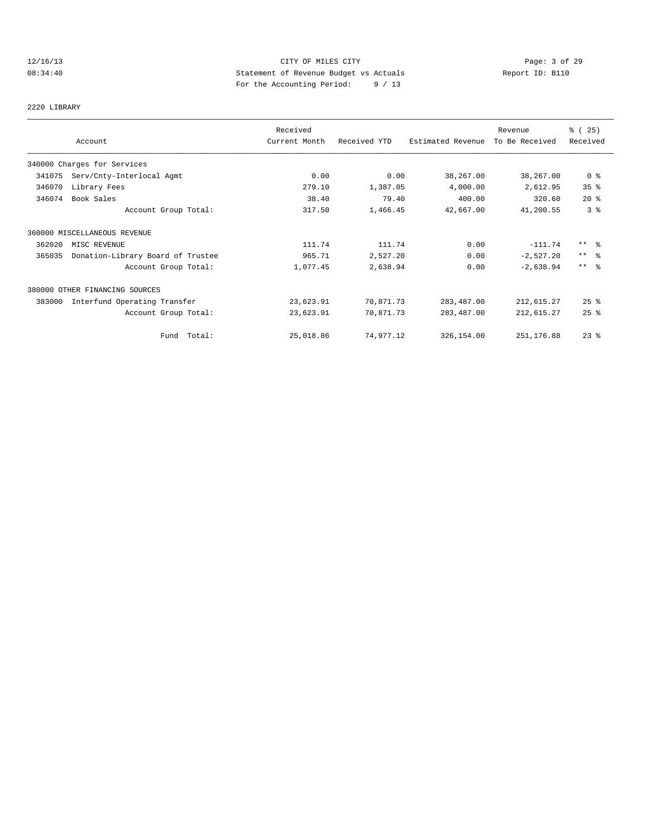# 12/16/13 CITY OF MILES CITY CHERE CITY Page: 3 of 29<br>
Statement of Revenue Budget vs Actuals Report ID: B110<br>
Put the Accumption Period: 0.(13 08:34:40 Statement of Revenue Budget vs Actuals Report ID: B110 For the Accounting Period: 9 / 13

2220 LIBRARY

|        |                                   | Received      |              |                   | Revenue        | % (25)                  |
|--------|-----------------------------------|---------------|--------------|-------------------|----------------|-------------------------|
|        | Account                           | Current Month | Received YTD | Estimated Revenue | To Be Received | Received                |
|        | 340000 Charges for Services       |               |              |                   |                |                         |
| 341075 | Serv/Cnty-Interlocal Agmt         | 0.00          | 0.00         | 38,267.00         | 38,267.00      | 0 <sub>8</sub>          |
| 346070 | Library Fees                      | 279.10        | 1,387.05     | 4,000.00          | 2,612.95       | 35%                     |
| 346074 | Book Sales                        | 38.40         | 79.40        | 400.00            | 320.60         | $20*$                   |
|        | Account Group Total:              | 317.50        | 1,466.45     | 42,667.00         | 41,200.55      | 3%                      |
|        | 360000 MISCELLANEOUS REVENUE      |               |              |                   |                |                         |
| 362020 | MISC REVENUE                      | 111.74        | 111.74       | 0.00              | $-111.74$      | $***$ $=$ $\frac{6}{5}$ |
| 365035 | Donation-Library Board of Trustee | 965.71        | 2,527.20     | 0.00              | $-2,527.20$    | $***$ $\approx$         |
|        | Account Group Total:              | 1,077.45      | 2,638.94     | 0.00              | $-2,638.94$    | $***$ $\approx$         |
|        | 380000 OTHER FINANCING SOURCES    |               |              |                   |                |                         |
| 383000 | Interfund Operating Transfer      | 23,623.91     | 70,871.73    | 283, 487.00       | 212,615.27     | 25%                     |
|        | Account Group Total:              | 23,623.91     | 70,871.73    | 283,487.00        | 212,615.27     | $25$ %                  |
|        | Fund Total:                       | 25,018.86     | 74,977.12    | 326,154.00        | 251,176.88     | $23$ $%$                |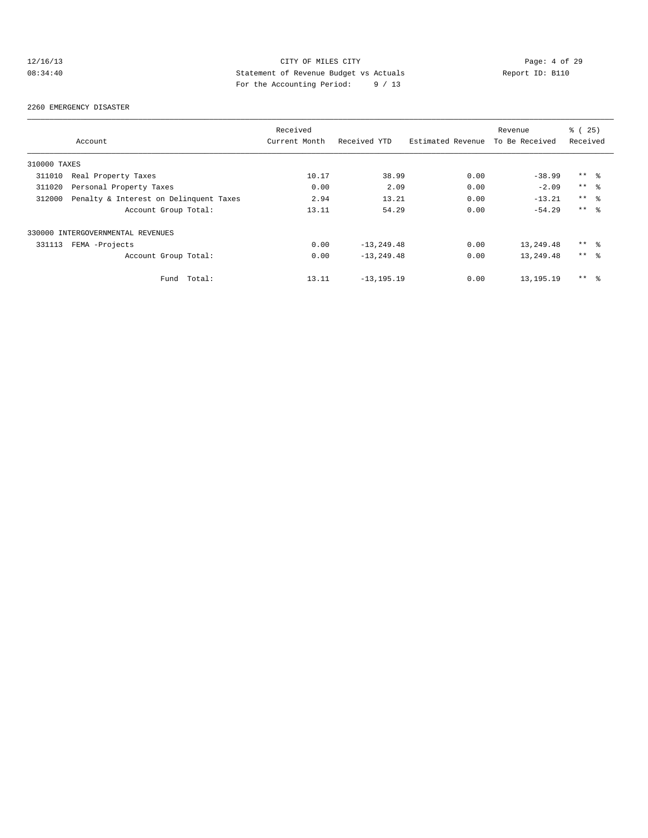# 12/16/13 CITY OF MILES CITY CHERE CITY Page: 4 of 29<br>08:34:40 Statement of Revenue Budget vs Actuals Report ID: B110<br>For the localistic Devial: 2012 08:34:40 Statement of Revenue Budget vs Actuals Report ID: B110 For the Accounting Period: 9 / 13

#### 2260 EMERGENCY DISASTER

|              |                                        | Received      |                |                   | Revenue        | $\frac{1}{6}$ ( 25) |
|--------------|----------------------------------------|---------------|----------------|-------------------|----------------|---------------------|
|              | Account                                | Current Month | Received YTD   | Estimated Revenue | To Be Received | Received            |
| 310000 TAXES |                                        |               |                |                   |                |                     |
| 311010       | Real Property Taxes                    | 10.17         | 38.99          | 0.00              | $-38.99$       | $***$ %             |
| 311020       | Personal Property Taxes                | 0.00          | 2.09           | 0.00              | $-2.09$        | $***$ $ -$          |
| 312000       | Penalty & Interest on Delinquent Taxes | 2.94          | 13.21          | 0.00              | $-13.21$       | $***$ %             |
|              | Account Group Total:                   | 13.11         | 54.29          | 0.00              | $-54.29$       | $***$ $\approx$     |
|              | 330000 INTERGOVERNMENTAL REVENUES      |               |                |                   |                |                     |
| 331113       | FEMA -Projects                         | 0.00          | $-13, 249.48$  | 0.00              | 13,249.48      | $***$ %             |
|              | Account Group Total:                   | 0.00          | $-13, 249.48$  | 0.00              | 13,249.48      | $***$ $\approx$     |
|              | Total:<br>Fund                         | 13.11         | $-13, 195, 19$ | 0.00              | 13, 195. 19    | $***$ %             |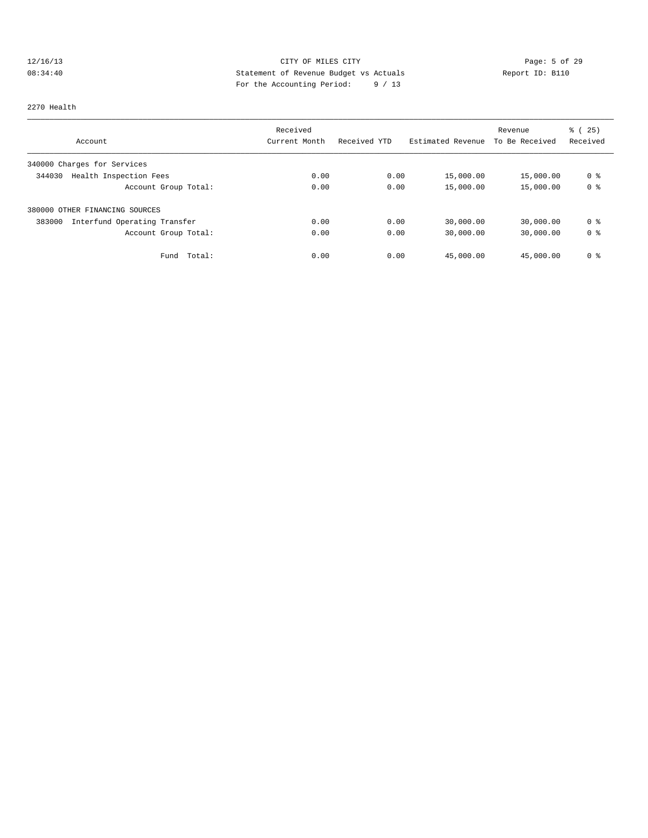# 12/16/13 CITY OF MILES CITY Page: 5 of 29 08:34:40 Statement of Revenue Budget vs Actuals Report ID: B110<br>Report ID: B110 For the Accounting Period: 9 / 13

2270 Health

|                                        | Received      |              |                   | Revenue        | $\frac{1}{6}$ ( 25) |
|----------------------------------------|---------------|--------------|-------------------|----------------|---------------------|
| Account                                | Current Month | Received YTD | Estimated Revenue | To Be Received | Received            |
| 340000 Charges for Services            |               |              |                   |                |                     |
| Health Inspection Fees<br>344030       | 0.00          | 0.00         | 15,000.00         | 15,000.00      | 0 <sup>8</sup>      |
| Account Group Total:                   | 0.00          | 0.00         | 15,000.00         | 15,000.00      | 0 <sup>8</sup>      |
| 380000 OTHER FINANCING SOURCES         |               |              |                   |                |                     |
| 383000<br>Interfund Operating Transfer | 0.00          | 0.00         | 30,000.00         | 30,000.00      | 0 <sup>8</sup>      |
| Account Group Total:                   | 0.00          | 0.00         | 30,000.00         | 30,000.00      | 0 <sup>8</sup>      |
| Fund<br>Total:                         | 0.00          | 0.00         | 45,000.00         | 45,000.00      | 0 <sup>8</sup>      |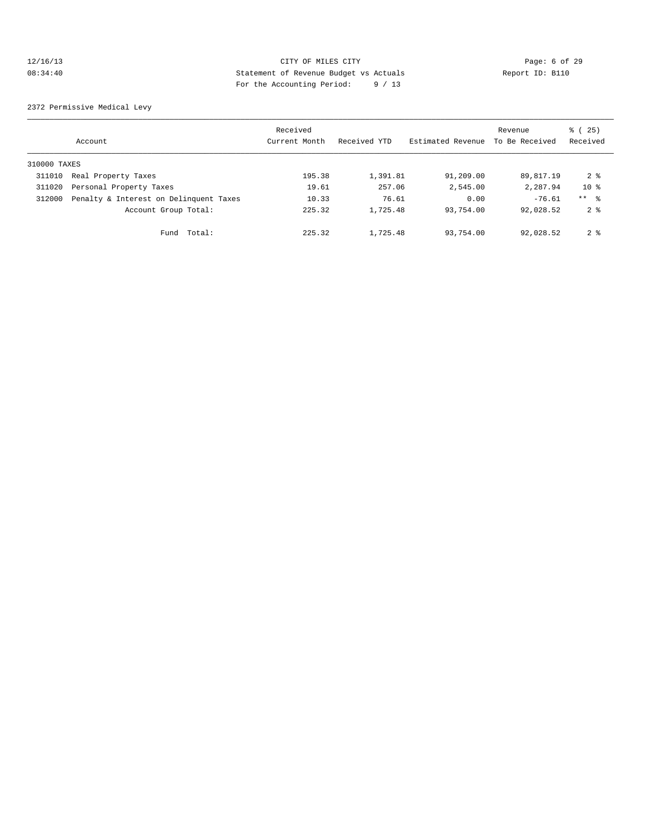#### 12/16/13 CITY OF MILES CITY Page: 6 of 29 08:34:40 Statement of Revenue Budget vs Actuals Report ID: B110 For the Accounting Period: 9 / 13

2372 Permissive Medical Levy

|              | Account                                | Received<br>Current Month | Received YTD | Estimated Revenue | Revenue<br>To Be Received | % (25)<br>Received |
|--------------|----------------------------------------|---------------------------|--------------|-------------------|---------------------------|--------------------|
| 310000 TAXES |                                        |                           |              |                   |                           |                    |
| 311010       | Real Property Taxes                    | 195.38                    | 1,391.81     | 91,209.00         | 89,817.19                 | 2 <sub>8</sub>     |
| 311020       | Personal Property Taxes                | 19.61                     | 257.06       | 2,545.00          | 2,287.94                  | $10*$              |
| 312000       | Penalty & Interest on Delinquent Taxes | 10.33                     | 76.61        | 0.00              | $-76.61$                  | $***$ %            |
|              | Account Group Total:                   | 225.32                    | 1,725.48     | 93,754.00         | 92,028.52                 | 2 <sub>8</sub>     |
|              | Fund Total:                            | 225.32                    | 1,725.48     | 93,754.00         | 92,028.52                 | 2 <sup>8</sup>     |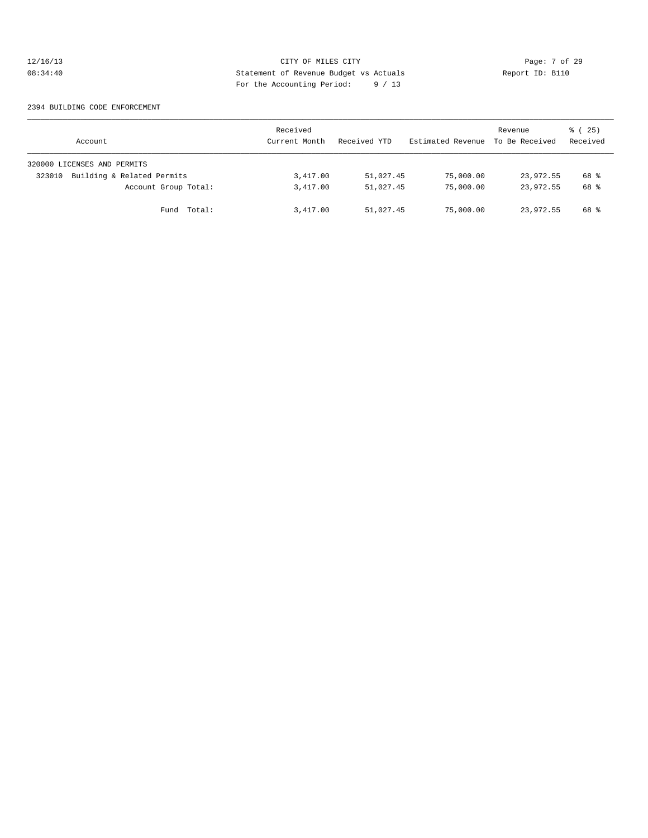# 12/16/13 CITY OF MILES CITY Page: 7 of 29 08:34:40 Statement of Revenue Budget vs Actuals Report ID: B110 For the Accounting Period: 9 / 13

#### 2394 BUILDING CODE ENFORCEMENT

| Account                              | Received<br>Current Month | Received YTD | Estimated Revenue | Revenue<br>To Be Received | 8 (25)<br>Received |
|--------------------------------------|---------------------------|--------------|-------------------|---------------------------|--------------------|
| 320000 LICENSES AND PERMITS          |                           |              |                   |                           |                    |
| Building & Related Permits<br>323010 | 3,417.00                  | 51,027.45    | 75,000.00         | 23,972.55                 | 68 %               |
| Account Group Total:                 | 3,417.00                  | 51,027.45    | 75,000.00         | 23,972.55                 | 68 %               |
| Fund Total:                          | 3,417.00                  | 51,027.45    | 75,000.00         | 23,972.55                 | 68 %               |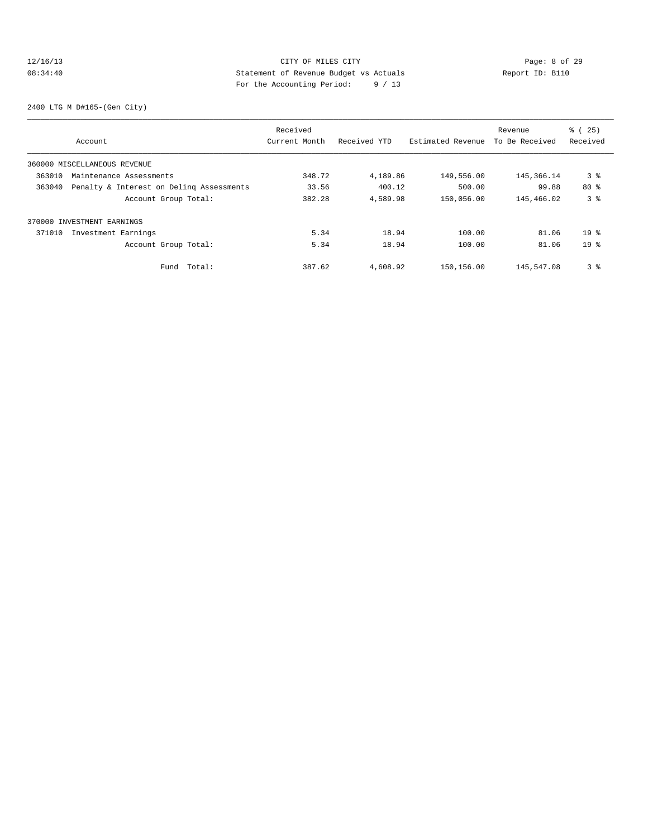#### 12/16/13 CITY OF MILES CITY Page: 8 of 29 08:34:40 Statement of Revenue Budget vs Actuals Report ID: B110 For the Accounting Period: 9 / 13

2400 LTG M D#165-(Gen City)

|        |                                          | Received      |              |                   | Revenue        | % (25)          |
|--------|------------------------------------------|---------------|--------------|-------------------|----------------|-----------------|
|        | Account                                  | Current Month | Received YTD | Estimated Revenue | To Be Received | Received        |
|        | 360000 MISCELLANEOUS REVENUE             |               |              |                   |                |                 |
| 363010 | Maintenance Assessments                  | 348.72        | 4,189.86     | 149,556.00        | 145,366.14     | 3 %             |
| 363040 | Penalty & Interest on Deling Assessments | 33.56         | 400.12       | 500.00            | 99.88          | 80%             |
|        | Account Group Total:                     | 382.28        | 4,589.98     | 150,056.00        | 145,466.02     | 3%              |
|        | 370000 INVESTMENT EARNINGS               |               |              |                   |                |                 |
| 371010 | Investment Earnings                      | 5.34          | 18.94        | 100.00            | 81.06          | 19 <sup>°</sup> |
|        | Account Group Total:                     | 5.34          | 18.94        | 100.00            | 81.06          | 19 <sup>°</sup> |
|        | Total:<br>Fund                           | 387.62        | 4,608.92     | 150,156.00        | 145,547.08     | 3%              |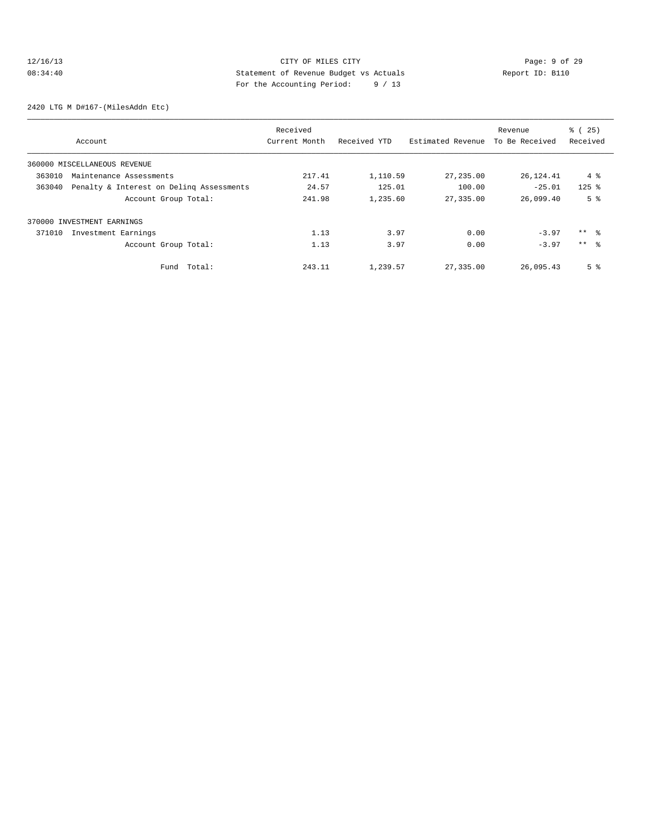# 12/16/13 CITY OF MILES CITY CHES CONTRIBUTE CONSUMING THE CONTRIBUTION OF MILES CITY CHES CONTRIBUTED PAGE: 9 of 29<br>
Statement of Revenue Budget vs Actuals Report ID: B110 08:34:40 Statement of Revenue Budget vs Actuals Report ID: B110 For the Accounting Period: 9 / 13

2420 LTG M D#167-(MilesAddn Etc)

|        |                                          | Received      |              |                   | Revenue        | % (25)          |
|--------|------------------------------------------|---------------|--------------|-------------------|----------------|-----------------|
|        | Account                                  | Current Month | Received YTD | Estimated Revenue | To Be Received | Received        |
|        | 360000 MISCELLANEOUS REVENUE             |               |              |                   |                |                 |
| 363010 | Maintenance Assessments                  | 217.41        | 1,110.59     | 27,235.00         | 26,124.41      | 4 %             |
| 363040 | Penalty & Interest on Deling Assessments | 24.57         | 125.01       | 100.00            | $-25.01$       | $125$ %         |
|        | Account Group Total:                     | 241.98        | 1,235.60     | 27,335.00         | 26,099.40      | 5 <sup>8</sup>  |
|        | 370000 INVESTMENT EARNINGS               |               |              |                   |                |                 |
| 371010 | Investment Earnings                      | 1.13          | 3.97         | 0.00              | $-3.97$        | $***$ %         |
|        | Account Group Total:                     | 1.13          | 3.97         | 0.00              | $-3.97$        | $***$ $\approx$ |
|        | Total:<br>Fund                           | 243.11        | 1,239.57     | 27,335.00         | 26,095.43      | 5 <sup>8</sup>  |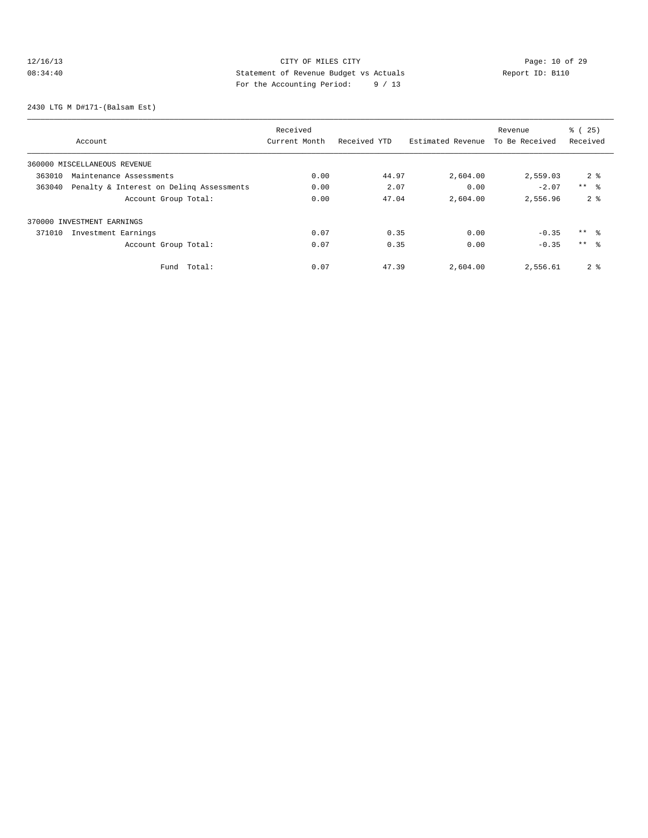# 12/16/13 Page: 10 of 29 08:34:40 Statement of Revenue Budget vs Actuals Report ID: B110 For the Accounting Period: 9 / 13

2430 LTG M D#171-(Balsam Est)

|                                                    | Received      |              |                   | Revenue        | % (25)          |
|----------------------------------------------------|---------------|--------------|-------------------|----------------|-----------------|
| Account                                            | Current Month | Received YTD | Estimated Revenue | To Be Received | Received        |
| 360000 MISCELLANEOUS REVENUE                       |               |              |                   |                |                 |
| 363010<br>Maintenance Assessments                  | 0.00          | 44.97        | 2,604.00          | 2,559.03       | 2 <sup>8</sup>  |
| Penalty & Interest on Deling Assessments<br>363040 | 0.00          | 2.07         | 0.00              | $-2.07$        | $***$ $\approx$ |
| Account Group Total:                               | 0.00          | 47.04        | 2,604.00          | 2,556.96       | 2 <sup>8</sup>  |
| 370000 INVESTMENT EARNINGS                         |               |              |                   |                |                 |
| 371010<br>Investment Earnings                      | 0.07          | 0.35         | 0.00              | $-0.35$        | $***$ %         |
| Account Group Total:                               | 0.07          | 0.35         | 0.00              | $-0.35$        | $***$ $\approx$ |
| Total:<br>Fund                                     | 0.07          | 47.39        | 2,604.00          | 2,556.61       | 2 <sub>8</sub>  |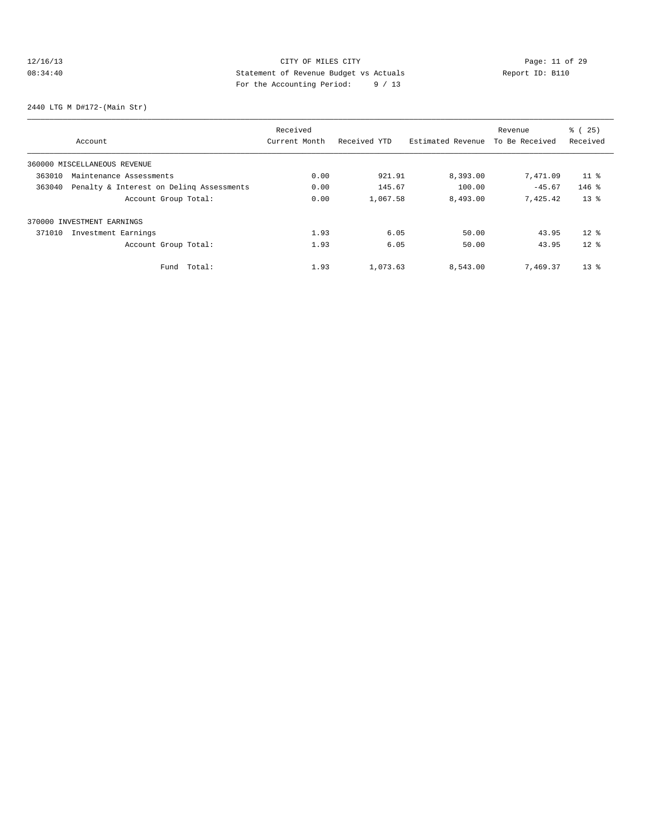# 12/16/13 Page: 11 of 29 08:34:40 Statement of Revenue Budget vs Actuals Report ID: B110 For the Accounting Period: 9 / 13

2440 LTG M D#172-(Main Str)

|        |                                          | Received      |              |                   | Revenue        | % (25)          |
|--------|------------------------------------------|---------------|--------------|-------------------|----------------|-----------------|
|        | Account                                  | Current Month | Received YTD | Estimated Revenue | To Be Received | Received        |
|        | 360000 MISCELLANEOUS REVENUE             |               |              |                   |                |                 |
| 363010 | Maintenance Assessments                  | 0.00          | 921.91       | 8,393.00          | 7,471.09       | 11 <sup>8</sup> |
| 363040 | Penalty & Interest on Deling Assessments | 0.00          | 145.67       | 100.00            | $-45.67$       | $146$ %         |
|        | Account Group Total:                     | 0.00          | 1,067.58     | 8,493.00          | 7.425.42       | $13*$           |
|        | 370000 INVESTMENT EARNINGS               |               |              |                   |                |                 |
| 371010 | Investment Earnings                      | 1.93          | 6.05         | 50.00             | 43.95          | $12*$           |
|        | Account Group Total:                     | 1.93          | 6.05         | 50.00             | 43.95          | $12*$           |
|        | Total:<br>Fund                           | 1.93          | 1,073.63     | 8,543.00          | 7,469.37       | $13*$           |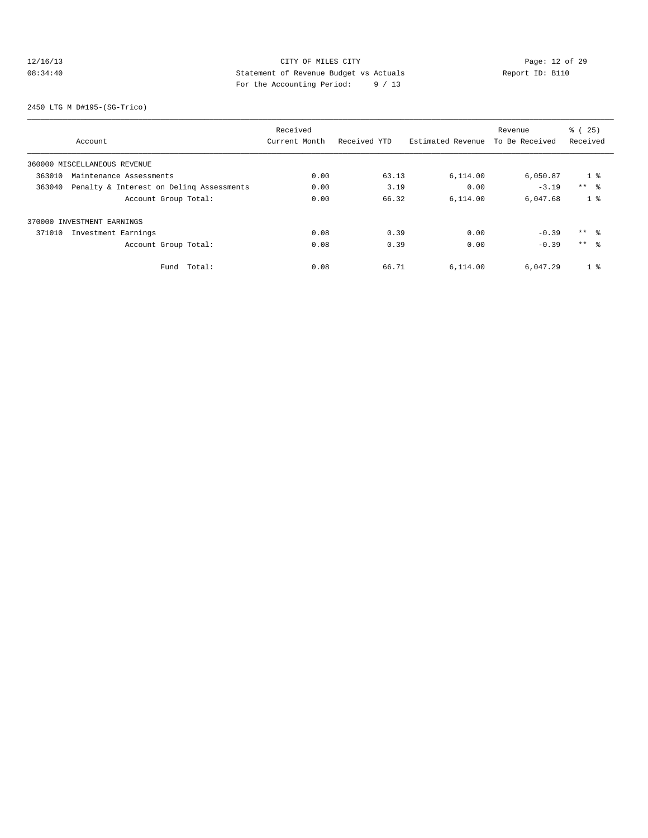# 12/16/13 CITY OF MILES CITY<br>
08:34:40 CHES CITY DESPARE ENGLIS PARENT DESPARE ENGLISHED PAGES 29<br>
For the becomption Depical of 12 08:34:40 Statement of Revenue Budget vs Actuals Report ID: B110 For the Accounting Period: 9 / 13

2450 LTG M D#195-(SG-Trico)

|        |                                          | Received      |              |                   | Revenue        | % (25)          |
|--------|------------------------------------------|---------------|--------------|-------------------|----------------|-----------------|
|        | Account                                  | Current Month | Received YTD | Estimated Revenue | To Be Received | Received        |
|        | 360000 MISCELLANEOUS REVENUE             |               |              |                   |                |                 |
| 363010 | Maintenance Assessments                  | 0.00          | 63.13        | 6,114.00          | 6,050.87       | 1 <sup>8</sup>  |
| 363040 | Penalty & Interest on Deling Assessments | 0.00          | 3.19         | 0.00              | $-3.19$        | $***$ $\approx$ |
|        | Account Group Total:                     | 0.00          | 66.32        | 6,114.00          | 6,047.68       | 1 <sup>8</sup>  |
|        | 370000 INVESTMENT EARNINGS               |               |              |                   |                |                 |
| 371010 | Investment Earnings                      | 0.08          | 0.39         | 0.00              | $-0.39$        | $***$ $\approx$ |
|        | Account Group Total:                     | 0.08          | 0.39         | 0.00              | $-0.39$        | $***$ %         |
|        | Total:<br>Fund                           | 0.08          | 66.71        | 6,114.00          | 6,047.29       | 1 <sup>8</sup>  |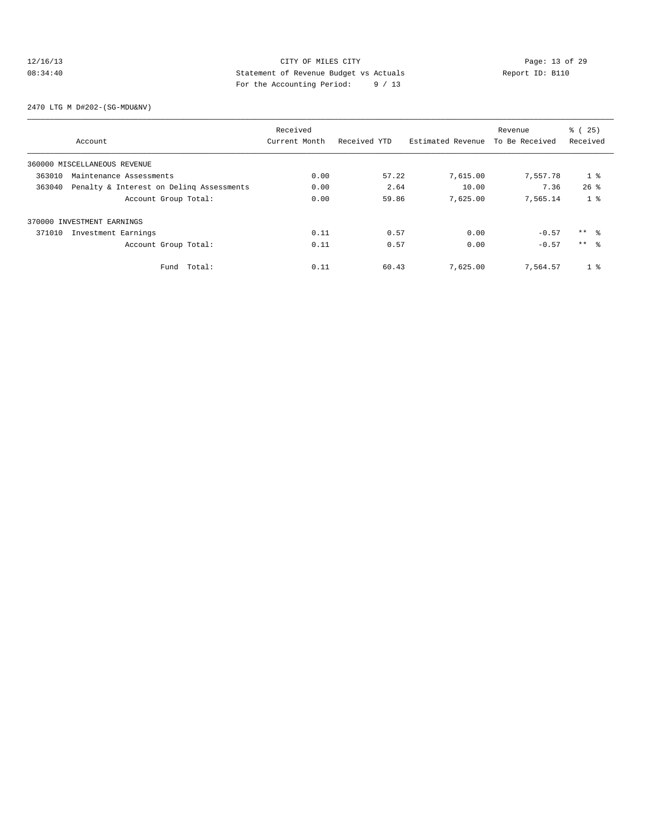#### 12/16/13 Page: 13 of 29 08:34:40 Statement of Revenue Budget vs Actuals Report ID: B110 For the Accounting Period: 9 / 13

2470 LTG M D#202-(SG-MDU&NV)

|        |                                          | Received      |              |                   | Revenue        | % (25)         |
|--------|------------------------------------------|---------------|--------------|-------------------|----------------|----------------|
|        | Account                                  | Current Month | Received YTD | Estimated Revenue | To Be Received | Received       |
|        | 360000 MISCELLANEOUS REVENUE             |               |              |                   |                |                |
| 363010 | Maintenance Assessments                  | 0.00          | 57.22        | 7,615.00          | 7,557.78       | 1 <sup>°</sup> |
| 363040 | Penalty & Interest on Deling Assessments | 0.00          | 2.64         | 10.00             | 7.36           | $26$ $%$       |
|        | Account Group Total:                     | 0.00          | 59.86        | 7,625.00          | 7,565.14       | 1 <sup>8</sup> |
|        | 370000 INVESTMENT EARNINGS               |               |              |                   |                |                |
| 371010 | Investment Earnings                      | 0.11          | 0.57         | 0.00              | $-0.57$        | $***$ 8        |
|        | Account Group Total:                     | 0.11          | 0.57         | 0.00              | $-0.57$        | $***$ 8        |
|        | Fund Total:                              | 0.11          | 60.43        | 7.625.00          | 7.564.57       | $1 \circ$      |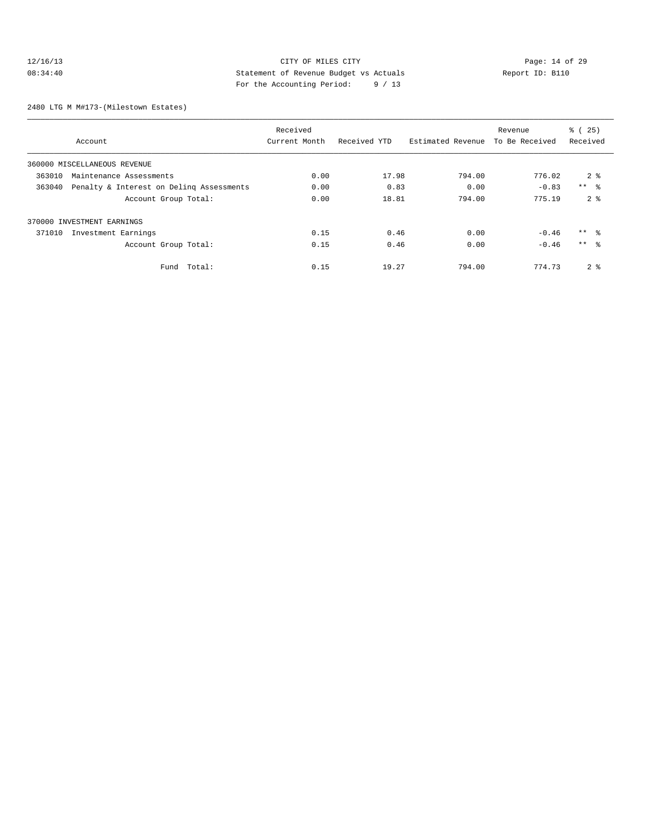#### 12/16/13 Page: 14 of 29 08:34:40 Statement of Revenue Budget vs Actuals Report ID: B110 For the Accounting Period: 9 / 13

2480 LTG M M#173-(Milestown Estates)

|        |                                          | Received      |              |                   | Revenue        | % (25)          |
|--------|------------------------------------------|---------------|--------------|-------------------|----------------|-----------------|
|        | Account                                  | Current Month | Received YTD | Estimated Revenue | To Be Received | Received        |
|        | 360000 MISCELLANEOUS REVENUE             |               |              |                   |                |                 |
| 363010 | Maintenance Assessments                  | 0.00          | 17.98        | 794.00            | 776.02         | 2 <sup>8</sup>  |
| 363040 | Penalty & Interest on Deling Assessments | 0.00          | 0.83         | 0.00              | $-0.83$        | $***$ $\approx$ |
|        | Account Group Total:                     | 0.00          | 18.81        | 794.00            | 775.19         | 2 <sup>8</sup>  |
|        | 370000 INVESTMENT EARNINGS               |               |              |                   |                |                 |
| 371010 | Investment Earnings                      | 0.15          | 0.46         | 0.00              | $-0.46$        | $***$ $\approx$ |
|        | Account Group Total:                     | 0.15          | 0.46         | 0.00              | $-0.46$        | $***$ 8         |
|        | Total:<br>Fund                           | 0.15          | 19.27        | 794.00            | 774.73         | 2 <sup>8</sup>  |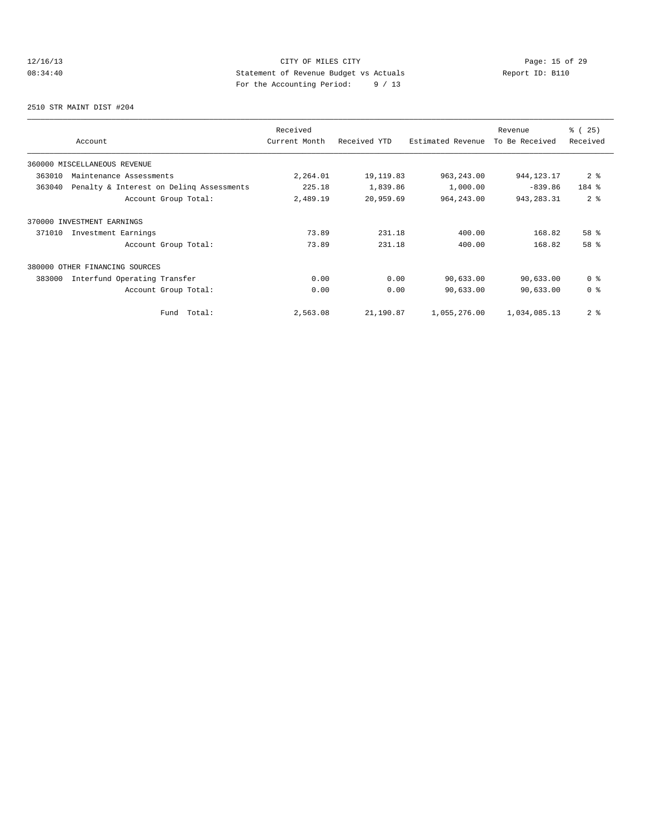# 12/16/13 Page: 15 of 29 08:34:40 Statement of Revenue Budget vs Actuals Report ID: B110 For the Accounting Period: 9 / 13

2510 STR MAINT DIST #204

| Account                                            | Received<br>Current Month | Received YTD | Estimated Revenue | Revenue<br>To Be Received | % (25)<br>Received |
|----------------------------------------------------|---------------------------|--------------|-------------------|---------------------------|--------------------|
| 360000 MISCELLANEOUS REVENUE                       |                           |              |                   |                           |                    |
| 363010<br>Maintenance Assessments                  | 2,264.01                  | 19, 119.83   | 963, 243.00       | 944, 123. 17              | 2 <sup>8</sup>     |
| Penalty & Interest on Deling Assessments<br>363040 | 225.18                    | 1,839.86     | 1,000.00          | $-839.86$                 | 184 %              |
| Account Group Total:                               | 2,489.19                  | 20,959.69    | 964, 243.00       | 943, 283. 31              | 2 <sup>8</sup>     |
| 370000 INVESTMENT EARNINGS                         |                           |              |                   |                           |                    |
| 371010<br>Investment Earnings                      | 73.89                     | 231.18       | 400.00            | 168.82                    | 58 %               |
| Account Group Total:                               | 73.89                     | 231.18       | 400.00            | 168.82                    | 58 %               |
| 380000 OTHER FINANCING SOURCES                     |                           |              |                   |                           |                    |
| 383000<br>Interfund Operating Transfer             | 0.00                      | 0.00         | 90,633.00         | 90,633.00                 | 0 <sup>8</sup>     |
| Account Group Total:                               | 0.00                      | 0.00         | 90,633.00         | 90,633.00                 | 0 <sup>8</sup>     |
| Total:<br>Fund                                     | 2,563.08                  | 21,190.87    | 1,055,276.00      | 1,034,085.13              | 2 <sup>8</sup>     |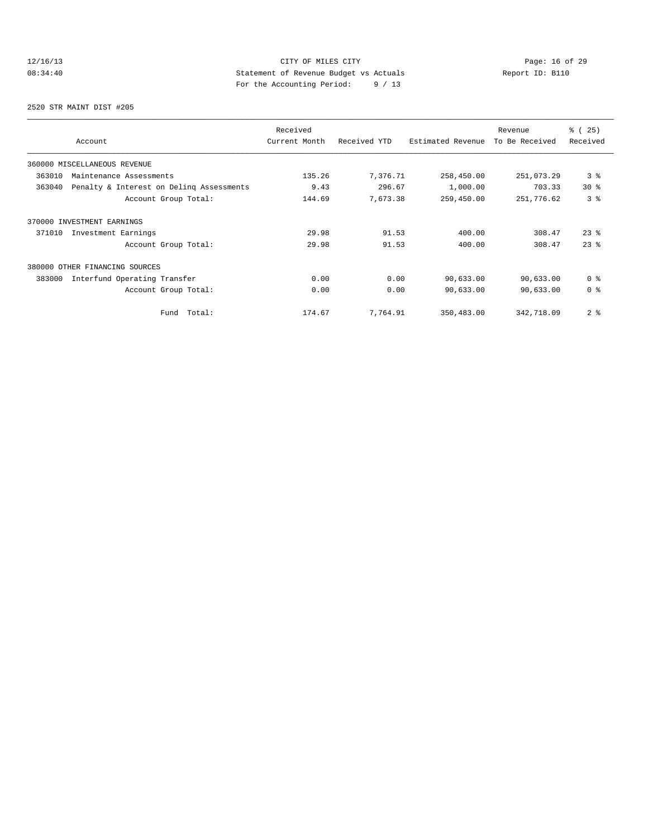# 12/16/13 Page: 16 of 29 08:34:40 Statement of Revenue Budget vs Actuals Report ID: B110 For the Accounting Period: 9 / 13

2520 STR MAINT DIST #205

| Account                                            | Received<br>Current Month | Received YTD | Estimated Revenue | Revenue<br>To Be Received | % (25)<br>Received |
|----------------------------------------------------|---------------------------|--------------|-------------------|---------------------------|--------------------|
| 360000 MISCELLANEOUS REVENUE                       |                           |              |                   |                           |                    |
| 363010<br>Maintenance Assessments                  | 135.26                    | 7,376.71     | 258,450.00        | 251,073.29                | 3%                 |
| Penalty & Interest on Deling Assessments<br>363040 | 9.43                      | 296.67       | 1,000.00          | 703.33                    | $30*$              |
| Account Group Total:                               | 144.69                    | 7,673.38     | 259,450.00        | 251,776.62                | 3 <sup>8</sup>     |
| 370000 INVESTMENT EARNINGS                         |                           |              |                   |                           |                    |
| Investment Earnings<br>371010                      | 29.98                     | 91.53        | 400.00            | 308.47                    | $23$ $%$           |
| Account Group Total:                               | 29.98                     | 91.53        | 400.00            | 308.47                    | $23$ $%$           |
| 380000 OTHER FINANCING SOURCES                     |                           |              |                   |                           |                    |
| 383000<br>Interfund Operating Transfer             | 0.00                      | 0.00         | 90,633.00         | 90,633.00                 | 0 <sup>8</sup>     |
| Account Group Total:                               | 0.00                      | 0.00         | 90,633.00         | 90,633.00                 | 0 <sup>8</sup>     |
| Total:<br>Fund                                     | 174.67                    | 7,764.91     | 350,483.00        | 342,718.09                | 2 <sub>8</sub>     |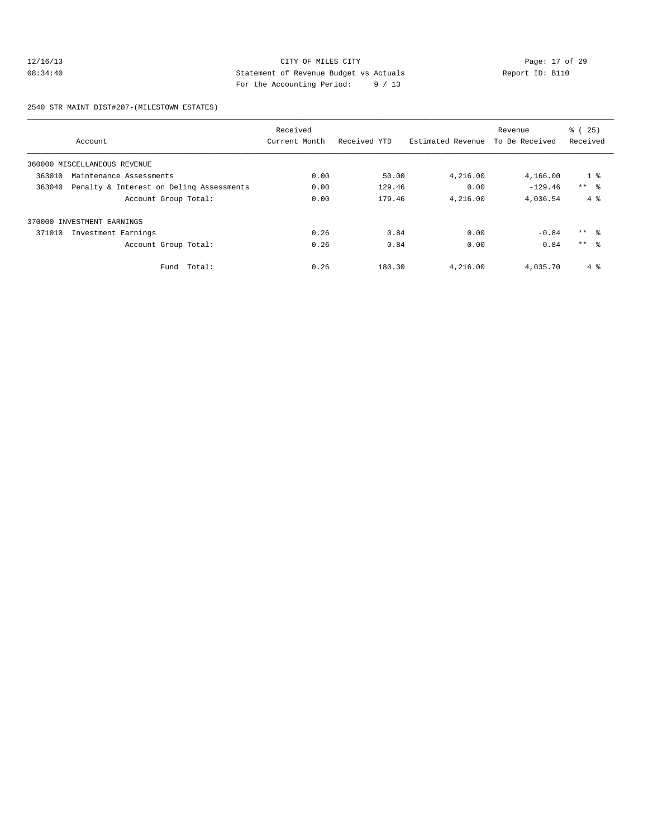#### 12/16/13 Page: 17 of 29 08:34:40 Statement of Revenue Budget vs Actuals Report ID: B110 For the Accounting Period: 9 / 13

2540 STR MAINT DIST#207-(MILESTOWN ESTATES)

|        |                                          | Received      |              |                   | Revenue        | % (25)          |
|--------|------------------------------------------|---------------|--------------|-------------------|----------------|-----------------|
|        | Account                                  | Current Month | Received YTD | Estimated Revenue | To Be Received | Received        |
|        | 360000 MISCELLANEOUS REVENUE             |               |              |                   |                |                 |
| 363010 | Maintenance Assessments                  | 0.00          | 50.00        | 4,216.00          | 4,166.00       | 1 <sup>8</sup>  |
| 363040 | Penalty & Interest on Deling Assessments | 0.00          | 129.46       | 0.00              | $-129.46$      | $***$ $\approx$ |
|        | Account Group Total:                     | 0.00          | 179.46       | 4,216.00          | 4,036.54       | $4\degree$      |
|        | 370000 INVESTMENT EARNINGS               |               |              |                   |                |                 |
| 371010 | Investment Earnings                      | 0.26          | 0.84         | 0.00              | $-0.84$        | $***$ $\approx$ |
|        | Account Group Total:                     | 0.26          | 0.84         | 0.00              | $-0.84$        | $***$ %         |
|        | Total:<br>Fund                           | 0.26          | 180.30       | 4,216.00          | 4,035.70       | $4\degree$      |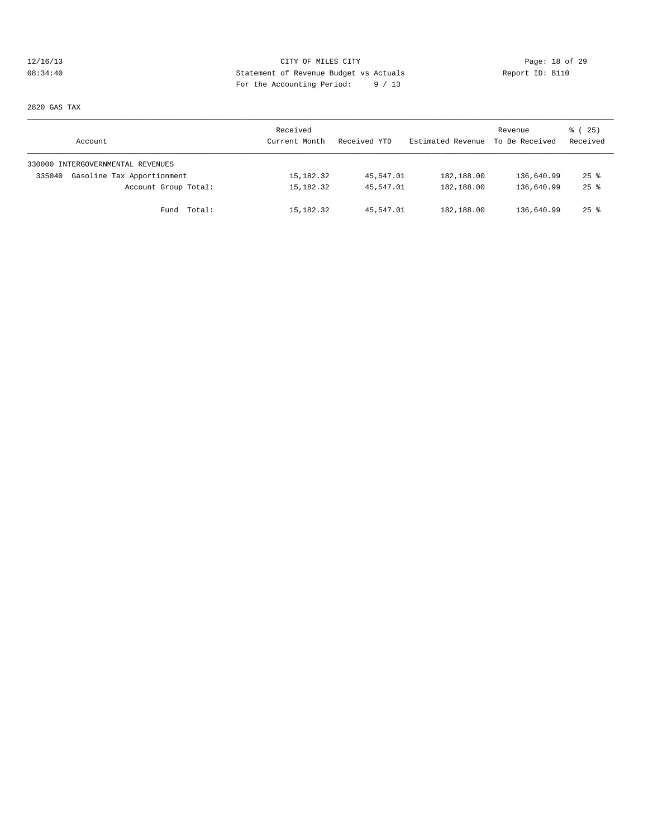# 12/16/13 CITY OF MILES CITY Page: 18 of 29 08:34:40 Statement of Revenue Budget vs Actuals Report ID: B110 For the Accounting Period: 9 / 13

2820 GAS TAX

| Account                              | Received<br>Current Month | Received YTD | Estimated Revenue | Revenue<br>To Be Received | 8 (25)<br>Received |
|--------------------------------------|---------------------------|--------------|-------------------|---------------------------|--------------------|
| 330000 INTERGOVERNMENTAL REVENUES    |                           |              |                   |                           |                    |
| Gasoline Tax Apportionment<br>335040 | 15,182.32                 | 45,547.01    | 182,188.00        | 136,640.99                | $25$ $\frac{6}{5}$ |
| Account Group Total:                 | 15,182.32                 | 45,547.01    | 182,188.00        | 136,640.99                | $25$ $\frac{6}{5}$ |
| Fund Total:                          | 15,182.32                 | 45,547.01    | 182,188.00        | 136,640.99                | $25$ %             |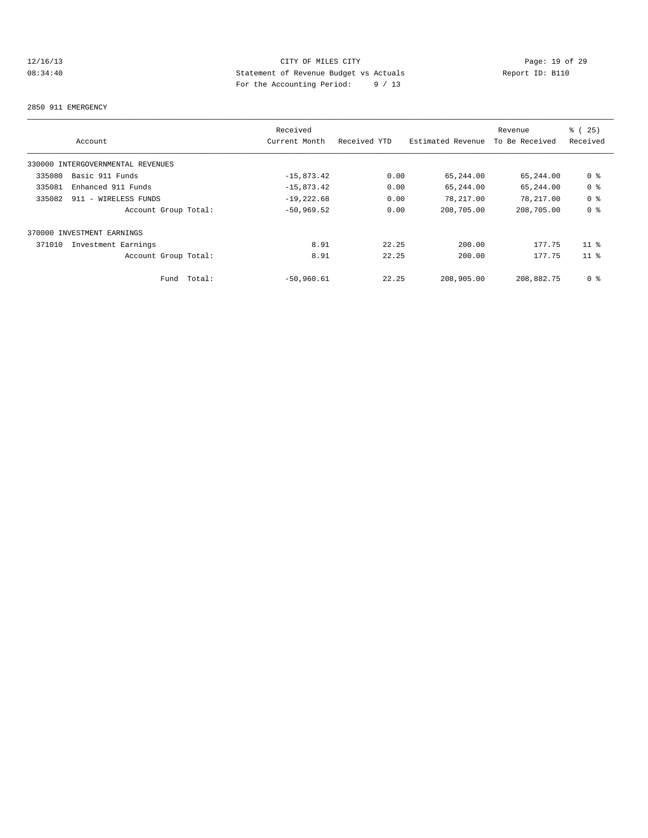# 12/16/13 CITY OF MILES CITY<br>
08:34:40 CHES CITY DESPUTE DUPER SERVICE DESCRIPTION PAGE: 19 of 29<br>
For the Accounting Positel (19 of 19 of 19 of 19 of 19 of 19 of 29 of 29 of 29 of 29 of 29 of 29 of 29 of 29 of 29 of 29 of 08:34:40 Statement of Revenue Budget vs Actuals Report ID: B110 For the Accounting Period: 9 / 13

#### 2850 911 EMERGENCY

|        |                                   | Received      |              |                   | Revenue        | % (25)          |
|--------|-----------------------------------|---------------|--------------|-------------------|----------------|-----------------|
|        | Account                           | Current Month | Received YTD | Estimated Revenue | To Be Received | Received        |
|        | 330000 INTERGOVERNMENTAL REVENUES |               |              |                   |                |                 |
| 335080 | Basic 911 Funds                   | $-15,873.42$  | 0.00         | 65,244.00         | 65,244.00      | 0 <sup>8</sup>  |
| 335081 | Enhanced 911 Funds                | $-15,873.42$  | 0.00         | 65,244.00         | 65,244.00      | 0 <sup>8</sup>  |
| 335082 | 911 - WIRELESS FUNDS              | $-19, 222.68$ | 0.00         | 78,217.00         | 78,217.00      | 0 <sup>8</sup>  |
|        | Account Group Total:              | $-50,969.52$  | 0.00         | 208,705.00        | 208,705.00     | 0 <sup>8</sup>  |
|        | 370000 INVESTMENT EARNINGS        |               |              |                   |                |                 |
| 371010 | Investment Earnings               | 8.91          | 22.25        | 200.00            | 177.75         | 11 <sup>8</sup> |
|        | Account Group Total:              | 8.91          | 22.25        | 200.00            | 177.75         | 11 <sup>8</sup> |
|        | Total:<br>Fund                    | $-50,960.61$  | 22.25        | 208,905.00        | 208,882.75     | 0 %             |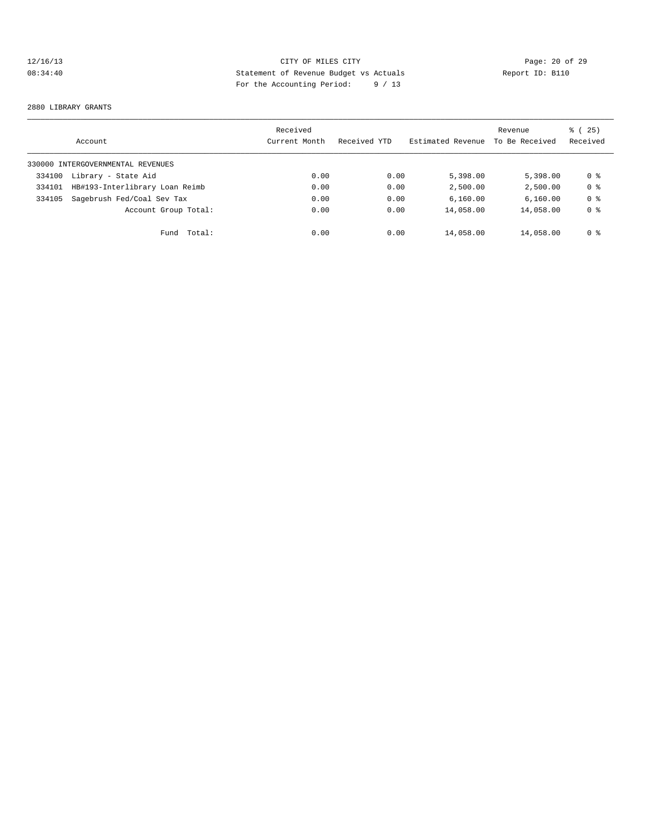# 12/16/13 Page: 20 of 29 08:34:40 Statement of Revenue Budget vs Actuals Report ID: B110 For the Accounting Period: 9 / 13

#### 2880 LIBRARY GRANTS

|        | Account                           | Received<br>Current Month | Received YTD | Estimated Revenue | Revenue<br>To Be Received | % (25)<br>Received |
|--------|-----------------------------------|---------------------------|--------------|-------------------|---------------------------|--------------------|
|        | 330000 INTERGOVERNMENTAL REVENUES |                           |              |                   |                           |                    |
| 334100 | Library - State Aid               | 0.00                      | 0.00         | 5,398.00          | 5,398,00                  | 0 %                |
| 334101 | HB#193-Interlibrary Loan Reimb    | 0.00                      | 0.00         | 2,500.00          | 2,500.00                  | 0 <sup>8</sup>     |
| 334105 | Sagebrush Fed/Coal Sev Tax        | 0.00                      | 0.00         | 6,160.00          | 6,160.00                  | 0 <sub>8</sub>     |
|        | Account Group Total:              | 0.00                      | 0.00         | 14,058.00         | 14,058.00                 | 0 <sub>8</sub>     |
|        | Total:<br>Fund                    | 0.00                      | 0.00         | 14,058.00         | 14,058.00                 | 0 %                |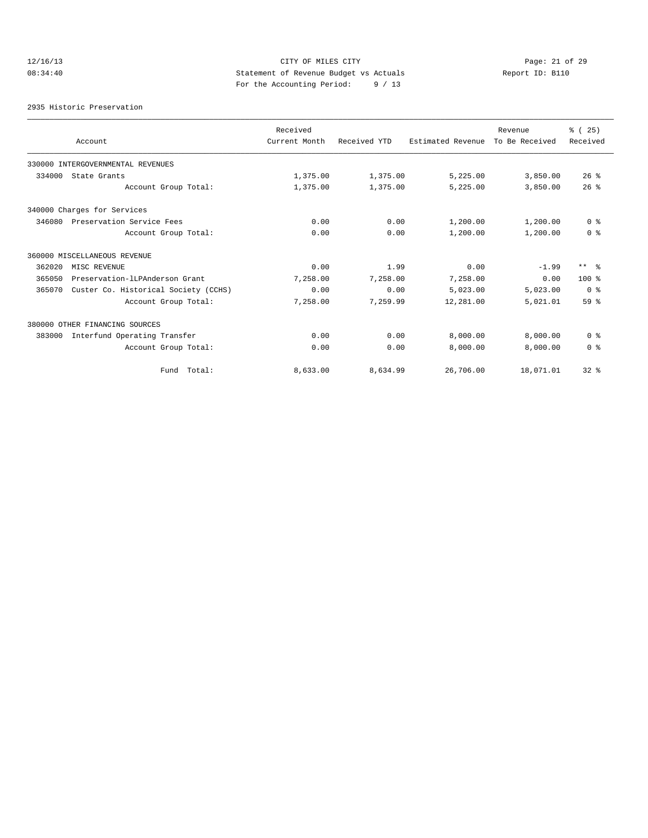# 12/16/13 Page: 21 of 29 08:34:40 Statement of Revenue Budget vs Actuals Report ID: B110 For the Accounting Period: 9 / 13

2935 Historic Preservation

|        |                                      | Received      |              |                   | Revenue        | % (25)         |
|--------|--------------------------------------|---------------|--------------|-------------------|----------------|----------------|
|        | Account                              | Current Month | Received YTD | Estimated Revenue | To Be Received | Received       |
|        | 330000 INTERGOVERNMENTAL REVENUES    |               |              |                   |                |                |
| 334000 | State Grants                         | 1,375.00      | 1,375.00     | 5,225.00          | 3,850.00       | $26$ %         |
|        | Account Group Total:                 | 1,375.00      | 1,375.00     | 5,225.00          | 3,850.00       | 26%            |
|        | 340000 Charges for Services          |               |              |                   |                |                |
| 346080 | Preservation Service Fees            | 0.00          | 0.00         | 1,200.00          | 1,200.00       | 0 <sup>8</sup> |
|        | Account Group Total:                 | 0.00          | 0.00         | 1,200.00          | 1,200.00       | 0 <sup>8</sup> |
|        | 360000 MISCELLANEOUS REVENUE         |               |              |                   |                |                |
| 362020 | MISC REVENUE                         | 0.00          | 1.99         | 0.00              | $-1.99$        | $***$ $ -$     |
| 365050 | Preservation-lLPAnderson Grant       | 7,258.00      | 7.258.00     | 7,258.00          | 0.00           | $100*$         |
| 365070 | Custer Co. Historical Society (CCHS) | 0.00          | 0.00         | 5,023.00          | 5,023.00       | 0 <sup>8</sup> |
|        | Account Group Total:                 | 7,258.00      | 7,259.99     | 12,281.00         | 5,021.01       | 59 %           |
|        | 380000 OTHER FINANCING SOURCES       |               |              |                   |                |                |
| 383000 | Interfund Operating Transfer         | 0.00          | 0.00         | 8,000.00          | 8,000.00       | 0 <sup>8</sup> |
|        | Account Group Total:                 | 0.00          | 0.00         | 8,000.00          | 8,000.00       | 0 <sup>8</sup> |
|        | Fund Total:                          | 8,633.00      | 8,634.99     | 26,706.00         | 18,071.01      | 328            |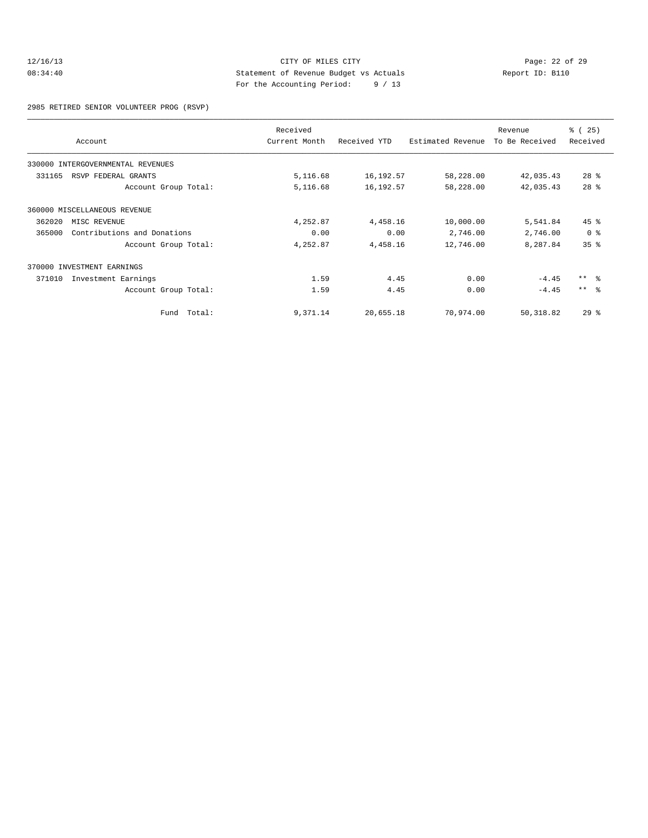#### 12/16/13 CITY OF MILES CITY<br>
08:34:40 Page: 22 of 29<br>
Statement of Revenue Budget vs Actuals<br>
For the Accumption Deviasion (11) 08:34:40 Statement of Revenue Budget vs Actuals Report ID: B110 For the Accounting Period: 9 / 13

2985 RETIRED SENIOR VOLUNTEER PROG (RSVP)

|        | Account                           | Received<br>Current Month | Received YTD | Estimated Revenue | Revenue<br>To Be Received | % (25)<br>Received |
|--------|-----------------------------------|---------------------------|--------------|-------------------|---------------------------|--------------------|
|        | 330000 INTERGOVERNMENTAL REVENUES |                           |              |                   |                           |                    |
| 331165 | RSVP FEDERAL GRANTS               | 5,116.68                  | 16,192.57    | 58,228.00         | 42,035.43                 | $28*$              |
|        | Account Group Total:              | 5,116.68                  | 16,192.57    | 58,228.00         | 42,035.43                 | $28$ $%$           |
|        | 360000 MISCELLANEOUS REVENUE      |                           |              |                   |                           |                    |
| 362020 | MISC REVENUE                      | 4,252.87                  | 4,458.16     | 10,000.00         | 5,541.84                  | $45$ $\frac{6}{3}$ |
| 365000 | Contributions and Donations       | 0.00                      | 0.00         | 2,746.00          | 2,746.00                  | 0 <sup>8</sup>     |
|        | Account Group Total:              | 4,252.87                  | 4,458.16     | 12,746.00         | 8,287.84                  | 35 <sup>8</sup>    |
|        | 370000 INVESTMENT EARNINGS        |                           |              |                   |                           |                    |
| 371010 | Investment Earnings               | 1.59                      | 4.45         | 0.00              | $-4.45$                   | $***$ $\approx$    |
|        | Account Group Total:              | 1.59                      | 4.45         | 0.00              | $-4.45$                   | $***$ $\approx$    |
|        | Fund Total:                       | 9,371.14                  | 20,655.18    | 70,974.00         | 50,318.82                 | $29$ $%$           |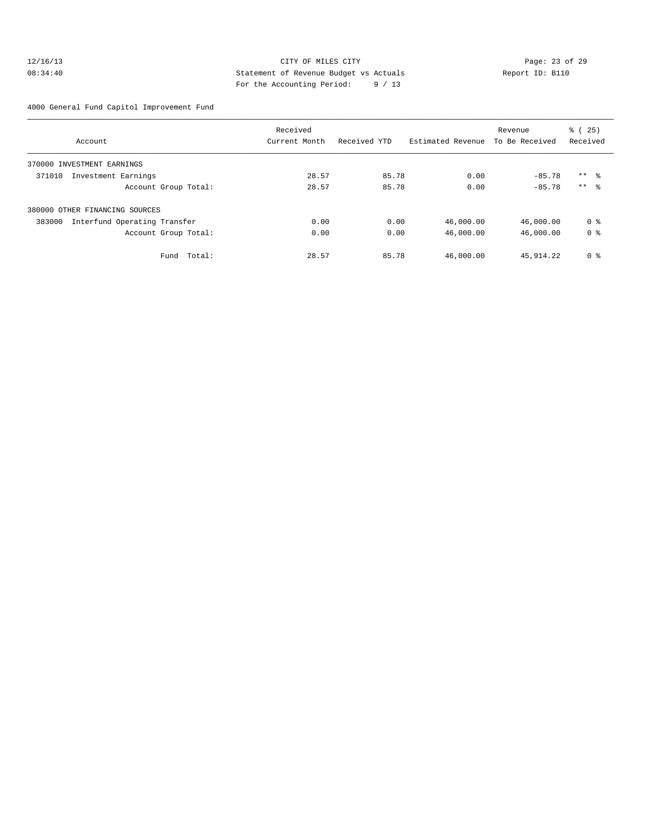#### 12/16/13 Page: 23 of 29 08:34:40 Statement of Revenue Budget vs Actuals Report ID: B110 For the Accounting Period: 9 / 13

4000 General Fund Capitol Improvement Fund

|                                        | Received      |              | Revenue           |                | % (25)         |  |
|----------------------------------------|---------------|--------------|-------------------|----------------|----------------|--|
| Account                                | Current Month | Received YTD | Estimated Revenue | To Be Received | Received       |  |
| 370000 INVESTMENT EARNINGS             |               |              |                   |                |                |  |
| 371010<br>Investment Earnings          | 28.57         | 85.78        | 0.00              | $-85.78$       | $***$ %        |  |
| Account Group Total:                   | 28.57         | 85.78        | 0.00              | $-85.78$       | $***$ 8        |  |
| 380000 OTHER FINANCING SOURCES         |               |              |                   |                |                |  |
| 383000<br>Interfund Operating Transfer | 0.00          | 0.00         | 46,000.00         | 46,000.00      | 0 <sub>8</sub> |  |
| Account Group Total:                   | 0.00          | 0.00         | 46,000.00         | 46,000.00      | 0 <sub>8</sub> |  |
| Total:<br>Fund                         | 28.57         | 85.78        | 46,000.00         | 45,914.22      | 0 <sup>8</sup> |  |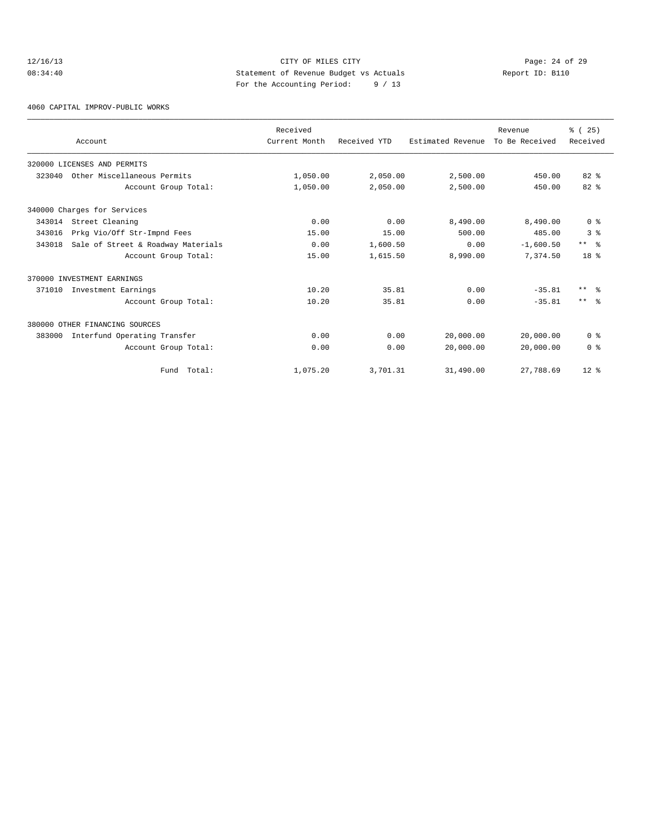#### 12/16/13 Page: 24 of 29 08:34:40 Statement of Revenue Budget vs Actuals Report ID: B110 For the Accounting Period: 9 / 13

4060 CAPITAL IMPROV-PUBLIC WORKS

|        | Account                            | Received<br>Current Month | Received YTD | Estimated Revenue | Revenue<br>To Be Received | % (25)<br>Received |
|--------|------------------------------------|---------------------------|--------------|-------------------|---------------------------|--------------------|
|        | 320000 LICENSES AND PERMITS        |                           |              |                   |                           |                    |
| 323040 | Other Miscellaneous Permits        | 1,050.00                  | 2,050.00     | 2,500.00          | 450.00                    | $82*$              |
|        | Account Group Total:               | 1,050.00                  | 2,050.00     | 2,500.00          | 450.00                    | $82*$              |
|        | 340000 Charges for Services        |                           |              |                   |                           |                    |
| 343014 | Street Cleaning                    | 0.00                      | 0.00         | 8,490.00          | 8,490.00                  | 0 <sup>8</sup>     |
| 343016 | Prkg Vio/Off Str-Impnd Fees        | 15.00                     | 15.00        | 500.00            | 485.00                    | 3 <sup>8</sup>     |
| 343018 | Sale of Street & Roadway Materials | 0.00                      | 1,600.50     | 0.00              | $-1,600.50$               | $***$ $\approx$    |
|        | Account Group Total:               | 15.00                     | 1,615.50     | 8,990.00          | 7.374.50                  | 18 <sup>8</sup>    |
|        | 370000 INVESTMENT EARNINGS         |                           |              |                   |                           |                    |
| 371010 | Investment Earnings                | 10.20                     | 35.81        | 0.00              | $-35.81$                  | $***$ %            |
|        | Account Group Total:               | 10.20                     | 35.81        | 0.00              | $-35.81$                  | $***$ $\approx$    |
|        | 380000 OTHER FINANCING SOURCES     |                           |              |                   |                           |                    |
| 383000 | Interfund Operating Transfer       | 0.00                      | 0.00         | 20,000.00         | 20,000.00                 | 0 <sup>8</sup>     |
|        | Account Group Total:               | 0.00                      | 0.00         | 20,000.00         | 20,000.00                 | 0 <sup>8</sup>     |
|        | Fund Total:                        | 1,075.20                  | 3,701.31     | 31,490.00         | 27,788.69                 | $12*$              |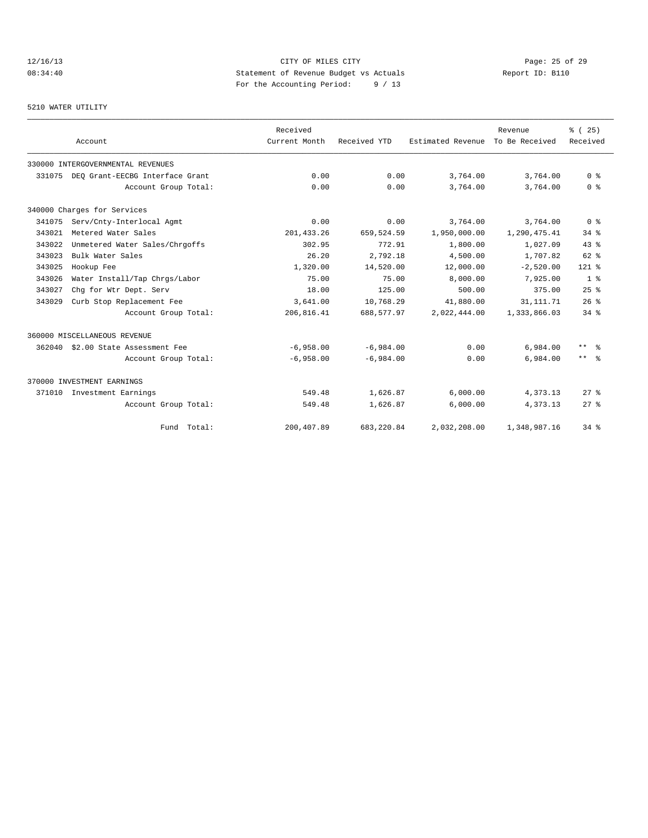# 12/16/13 Page: 25 of 29 08:34:40 Statement of Revenue Budget vs Actuals Report ID: B110 For the Accounting Period: 9 / 13

#### 5210 WATER UTILITY

|        | Account                           | Received<br>Current Month | Received YTD | Estimated Revenue | Revenue<br>To Be Received | % (25)<br>Received   |
|--------|-----------------------------------|---------------------------|--------------|-------------------|---------------------------|----------------------|
|        | 330000 INTERGOVERNMENTAL REVENUES |                           |              |                   |                           |                      |
| 331075 | DEO Grant-EECBG Interface Grant   | 0.00                      | 0.00         | 3,764.00          | 3,764.00                  | 0 <sup>8</sup>       |
|        | Account Group Total:              | 0.00                      | 0.00         | 3,764.00          | 3,764.00                  | 0 <sup>8</sup>       |
|        | 340000 Charges for Services       |                           |              |                   |                           |                      |
| 341075 | Serv/Cnty-Interlocal Agmt         | 0.00                      | 0.00         | 3,764.00          | 3,764.00                  | 0 <sup>8</sup>       |
| 343021 | Metered Water Sales               | 201, 433.26               | 659,524.59   | 1,950,000.00      | 1,290,475.41              | $34$ $%$             |
| 343022 | Unmetered Water Sales/Chrgoffs    | 302.95                    | 772.91       | 1,800.00          | 1,027.09                  | 43.8                 |
| 343023 | Bulk Water Sales                  | 26.20                     | 2,792.18     | 4,500.00          | 1,707.82                  | $62$ $%$             |
| 343025 | Hookup Fee                        | 1,320.00                  | 14,520.00    | 12,000.00         | $-2,520.00$               | $121$ %              |
| 343026 | Water Install/Tap Chrgs/Labor     | 75.00                     | 75.00        | 8,000.00          | 7,925.00                  | 1 <sup>8</sup>       |
| 343027 | Chq for Wtr Dept. Serv            | 18.00                     | 125.00       | 500.00            | 375.00                    | 25%                  |
| 343029 | Curb Stop Replacement Fee         | 3,641.00                  | 10,768.29    | 41,880.00         | 31, 111.71                | 26%                  |
|        | Account Group Total:              | 206,816.41                | 688,577.97   | 2,022,444.00      | 1,333,866.03              | $34$ $%$             |
|        | 360000 MISCELLANEOUS REVENUE      |                           |              |                   |                           |                      |
| 362040 | \$2.00 State Assessment Fee       | $-6.958.00$               | $-6.984.00$  | 0.00              | 6,984.00                  | $***$ $\approx$      |
|        | Account Group Total:              | $-6,958.00$               | $-6.984.00$  | 0.00              | 6,984.00                  | $***$ $ \frac{6}{6}$ |
|        | 370000 INVESTMENT EARNINGS        |                           |              |                   |                           |                      |
| 371010 | Investment Earnings               | 549.48                    | 1,626.87     | 6,000.00          | 4,373.13                  | $27$ $%$             |
|        | Account Group Total:              | 549.48                    | 1,626.87     | 6,000.00          | 4,373.13                  | $27$ $\approx$       |
|        | Fund Total:                       | 200,407.89                | 683,220.84   | 2,032,208.00      | 1,348,987.16              | $34$ $%$             |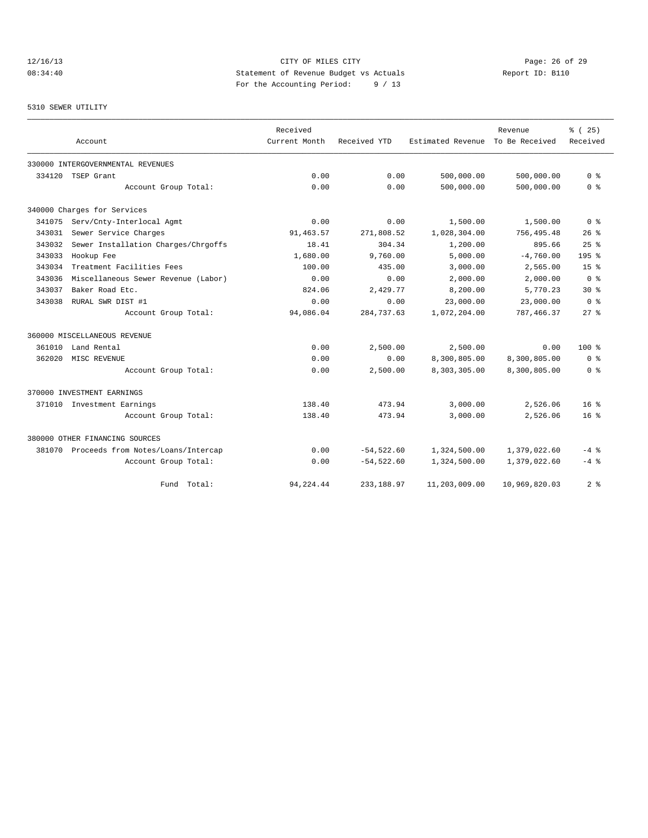# 12/16/13 Page: 26 of 29 08:34:40 Statement of Revenue Budget vs Actuals Report ID: B110 For the Accounting Period: 9 / 13

#### 5310 SEWER UTILITY

|        |                                           | Received      |              |                   | Revenue        | % (25)                  |
|--------|-------------------------------------------|---------------|--------------|-------------------|----------------|-------------------------|
|        | Account                                   | Current Month | Received YTD | Estimated Revenue | To Be Received | Received                |
|        | 330000 INTERGOVERNMENTAL REVENUES         |               |              |                   |                |                         |
| 334120 | TSEP Grant                                | 0.00          | 0.00         | 500,000.00        | 500,000.00     | 0 <sup>8</sup>          |
|        | Account Group Total:                      | 0.00          | 0.00         | 500,000.00        | 500,000.00     | 0 <sup>8</sup>          |
|        | 340000 Charges for Services               |               |              |                   |                |                         |
| 341075 | Serv/Cnty-Interlocal Agmt                 | 0.00          | 0.00         | 1,500.00          | 1,500.00       | 0 <sup>8</sup>          |
| 343031 | Sewer Service Charges                     | 91, 463.57    | 271,808.52   | 1,028,304.00      | 756,495.48     | $26$ %                  |
| 343032 | Sewer Installation Charges/Chrgoffs       | 18.41         | 304.34       | 1,200.00          | 895.66         | 25%                     |
| 343033 | Hookup Fee                                | 1,680.00      | 9,760.00     | 5,000.00          | $-4,760.00$    | 195 <sub>8</sub>        |
| 343034 | Treatment Facilities Fees                 | 100.00        | 435.00       | 3,000.00          | 2,565.00       | 15 <sup>°</sup>         |
| 343036 | Miscellaneous Sewer Revenue (Labor)       | 0.00          | 0.00         | 2,000.00          | 2,000.00       | $0 \text{ }$ $\text{ }$ |
| 343037 | Baker Road Etc.                           | 824.06        | 2.429.77     | 8,200.00          | 5,770.23       | $30*$                   |
| 343038 | RURAL SWR DIST #1                         | 0.00          | 0.00         | 23,000.00         | 23,000.00      | 0 <sup>8</sup>          |
|        | Account Group Total:                      | 94,086.04     | 284,737.63   | 1,072,204.00      | 787,466.37     | $27$ $%$                |
|        | 360000 MISCELLANEOUS REVENUE              |               |              |                   |                |                         |
| 361010 | Land Rental                               | 0.00          | 2,500.00     | 2,500.00          | 0.00           | $100*$                  |
| 362020 | MISC REVENUE                              | 0.00          | 0.00         | 8,300,805.00      | 8,300,805.00   | 0 <sup>8</sup>          |
|        | Account Group Total:                      | 0.00          | 2,500.00     | 8,303,305.00      | 8,300,805.00   | 0 <sup>8</sup>          |
|        | 370000 INVESTMENT EARNINGS                |               |              |                   |                |                         |
|        | 371010 Investment Earnings                | 138.40        | 473.94       | 3,000.00          | 2,526.06       | 16 <sup>8</sup>         |
|        | Account Group Total:                      | 138.40        | 473.94       | 3,000.00          | 2,526.06       | $16*$                   |
|        | 380000 OTHER FINANCING SOURCES            |               |              |                   |                |                         |
|        | 381070 Proceeds from Notes/Loans/Intercap | 0.00          | $-54,522.60$ | 1,324,500.00      | 1,379,022.60   | $-4$ %                  |
|        | Account Group Total:                      | 0.00          | $-54,522.60$ | 1,324,500.00      | 1,379,022.60   | $-4$ %                  |
|        | Fund Total:                               | 94, 224.44    | 233, 188.97  | 11,203,009.00     | 10,969,820.03  | 2 <sup>8</sup>          |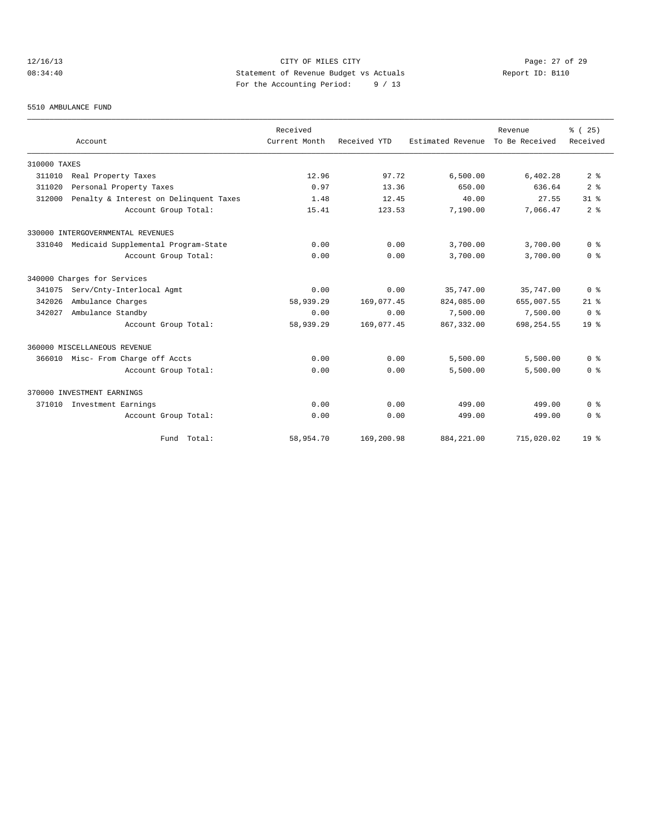# 12/16/13 Page: 27 of 29 08:34:40 Statement of Revenue Budget vs Actuals Report ID: B110 For the Accounting Period: 9 / 13

#### 5510 AMBULANCE FUND

|              |                                        | Received      |              |                   | Revenue        | % (25)                             |
|--------------|----------------------------------------|---------------|--------------|-------------------|----------------|------------------------------------|
|              | Account                                | Current Month | Received YTD | Estimated Revenue | To Be Received | Received                           |
| 310000 TAXES |                                        |               |              |                   |                |                                    |
| 311010       | Real Property Taxes                    | 12.96         | 97.72        | 6,500.00          | 6,402.28       | 2 <sup>8</sup>                     |
| 311020       | Personal Property Taxes                | 0.97          | 13.36        | 650.00            | 636.64         | 2 <sup>8</sup>                     |
| 312000       | Penalty & Interest on Delinquent Taxes | 1.48          | 12.45        | 40.00             | 27.55          | 31.8                               |
|              | Account Group Total:                   | 15.41         | 123.53       | 7,190.00          | 7,066.47       | 2 <sup>8</sup>                     |
|              | 330000 INTERGOVERNMENTAL REVENUES      |               |              |                   |                |                                    |
| 331040       | Medicaid Supplemental Program-State    | 0.00          | 0.00         | 3,700.00          | 3,700.00       | 0 <sup>8</sup>                     |
|              | Account Group Total:                   | 0.00          | 0.00         | 3,700.00          | 3,700.00       | 0 <sup>8</sup>                     |
|              | 340000 Charges for Services            |               |              |                   |                |                                    |
| 341075       | Serv/Cnty-Interlocal Agmt              | 0.00          | 0.00         | 35,747.00         | 35,747.00      | 0 <sup>8</sup>                     |
| 342026       | Ambulance Charges                      | 58,939.29     | 169,077.45   | 824,085.00        | 655,007.55     | $21$ %                             |
| 342027       | Ambulance Standby                      | 0.00          | 0.00         | 7,500.00          | 7,500.00       | 0 <sup>8</sup>                     |
|              | Account Group Total:                   | 58,939.29     | 169,077.45   | 867, 332.00       | 698, 254.55    | 19 <sup>8</sup>                    |
|              | 360000 MISCELLANEOUS REVENUE           |               |              |                   |                |                                    |
| 366010       | Misc- From Charge off Accts            | 0.00          | 0.00         | 5,500.00          | 5,500.00       | 0 <sup>8</sup>                     |
|              | Account Group Total:                   | 0.00          | 0.00         | 5,500.00          | 5.500.00       | 0 <sup>8</sup>                     |
|              | 370000 INVESTMENT EARNINGS             |               |              |                   |                |                                    |
| 371010       | Investment Earnings                    | 0.00          | 0.00         | 499.00            | 499.00         | $0 \text{ }$ $\text{ }$ $\text{ }$ |
|              | Account Group Total:                   | 0.00          | 0.00         | 499.00            | 499.00         | 0 <sup>8</sup>                     |
|              | Fund Total:                            | 58,954.70     | 169,200.98   | 884, 221.00       | 715,020.02     | 19 <sup>8</sup>                    |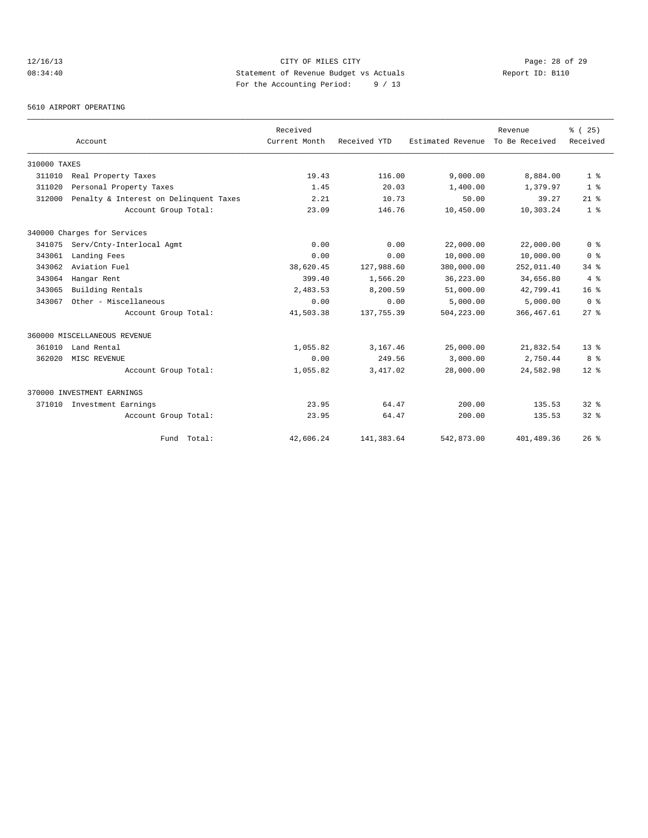# 12/16/13 Page: 28 of 29 08:34:40 Statement of Revenue Budget vs Actuals Report ID: B110 For the Accounting Period: 9 / 13

5610 AIRPORT OPERATING

|              |                                        | Received      |              |                   | Revenue        | % (25)          |
|--------------|----------------------------------------|---------------|--------------|-------------------|----------------|-----------------|
|              | Account                                | Current Month | Received YTD | Estimated Revenue | To Be Received | Received        |
| 310000 TAXES |                                        |               |              |                   |                |                 |
| 311010       | Real Property Taxes                    | 19.43         | 116.00       | 9,000.00          | 8,884.00       | 1 <sup>8</sup>  |
| 311020       | Personal Property Taxes                | 1.45          | 20.03        | 1,400.00          | 1,379.97       | 1 <sup>8</sup>  |
| 312000       | Penalty & Interest on Delinquent Taxes | 2.21          | 10.73        | 50.00             | 39.27          | $21$ %          |
|              | Account Group Total:                   | 23.09         | 146.76       | 10,450.00         | 10,303.24      | 1 <sup>8</sup>  |
|              | 340000 Charges for Services            |               |              |                   |                |                 |
| 341075       | Serv/Cnty-Interlocal Agmt              | 0.00          | 0.00         | 22,000.00         | 22,000.00      | 0 <sup>8</sup>  |
| 343061       | Landing Fees                           | 0.00          | 0.00         | 10,000.00         | 10,000.00      | 0 <sup>8</sup>  |
| 343062       | Aviation Fuel                          | 38,620.45     | 127,988.60   | 380,000.00        | 252,011.40     | $34$ $%$        |
| 343064       | Hangar Rent                            | 399.40        | 1,566.20     | 36,223.00         | 34,656.80      | 4%              |
| 343065       | Building Rentals                       | 2,483.53      | 8,200.59     | 51,000.00         | 42,799.41      | 16 <sup>8</sup> |
| 343067       | Other - Miscellaneous                  | 0.00          | 0.00         | 5,000.00          | 5,000.00       | 0 <sup>8</sup>  |
|              | Account Group Total:                   | 41,503.38     | 137,755.39   | 504,223.00        | 366, 467.61    | $27$ $%$        |
|              | 360000 MISCELLANEOUS REVENUE           |               |              |                   |                |                 |
| 361010       | Land Rental                            | 1,055.82      | 3,167.46     | 25,000.00         | 21,832.54      | 13 <sup>8</sup> |
| 362020       | MISC REVENUE                           | 0.00          | 249.56       | 3,000.00          | 2,750.44       | 8 %             |
|              | Account Group Total:                   | 1,055.82      | 3,417.02     | 28,000.00         | 24,582.98      | $12*$           |
|              | 370000 INVESTMENT EARNINGS             |               |              |                   |                |                 |
| 371010       | Investment Earnings                    | 23.95         | 64.47        | 200.00            | 135.53         | $32*$           |
|              | Account Group Total:                   | 23.95         | 64.47        | 200.00            | 135.53         | $32*$           |
|              | Fund Total:                            | 42,606.24     | 141,383.64   | 542,873.00        | 401,489.36     | 26%             |